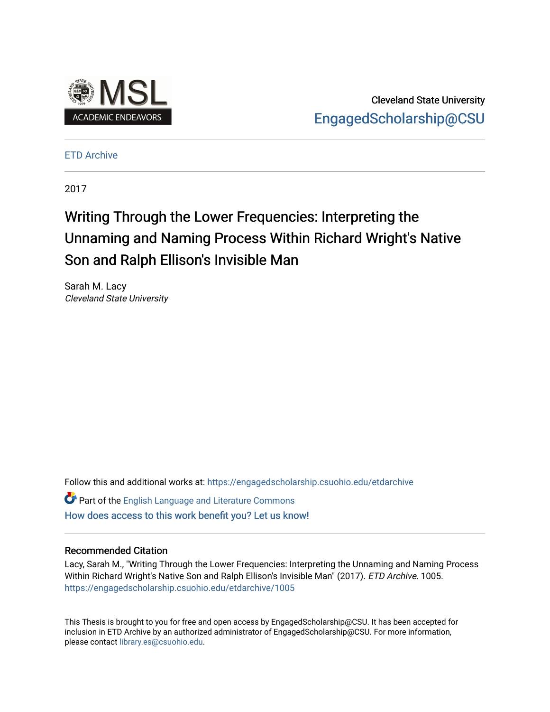

Cleveland State University [EngagedScholarship@CSU](https://engagedscholarship.csuohio.edu/) 

[ETD Archive](https://engagedscholarship.csuohio.edu/etdarchive)

2017

# Writing Through the Lower F requencies: Interpreting the Unnaming and Naming Process Within Richard Wright's Native Son and Ralph Ellison's Invisible Man

Sarah M. Lacy Cleveland State University

Follow this and additional works at: [https://engagedscholarship.csuohio.edu/etdarchive](https://engagedscholarship.csuohio.edu/etdarchive?utm_source=engagedscholarship.csuohio.edu%2Fetdarchive%2F1005&utm_medium=PDF&utm_campaign=PDFCoverPages)

Part of the [English Language and Literature Commons](https://network.bepress.com/hgg/discipline/455?utm_source=engagedscholarship.csuohio.edu%2Fetdarchive%2F1005&utm_medium=PDF&utm_campaign=PDFCoverPages) [How does access to this work benefit you? Let us know!](http://library.csuohio.edu/engaged/)

## Recommended Citation

Lacy, Sarah M., "Writing Through the Lower Frequencies: Interpreting the Unnaming and Naming Process Within Richard Wright's Native Son and Ralph Ellison's Invisible Man" (2017). ETD Archive. 1005. [https://engagedscholarship.csuohio.edu/etdarchive/1005](https://engagedscholarship.csuohio.edu/etdarchive/1005?utm_source=engagedscholarship.csuohio.edu%2Fetdarchive%2F1005&utm_medium=PDF&utm_campaign=PDFCoverPages)

This Thesis is brought to you for free and open access by EngagedScholarship@CSU. It has been accepted for inclusion in ETD Archive by an authorized administrator of EngagedScholarship@CSU. For more information, please contact [library.es@csuohio.edu.](mailto:library.es@csuohio.edu)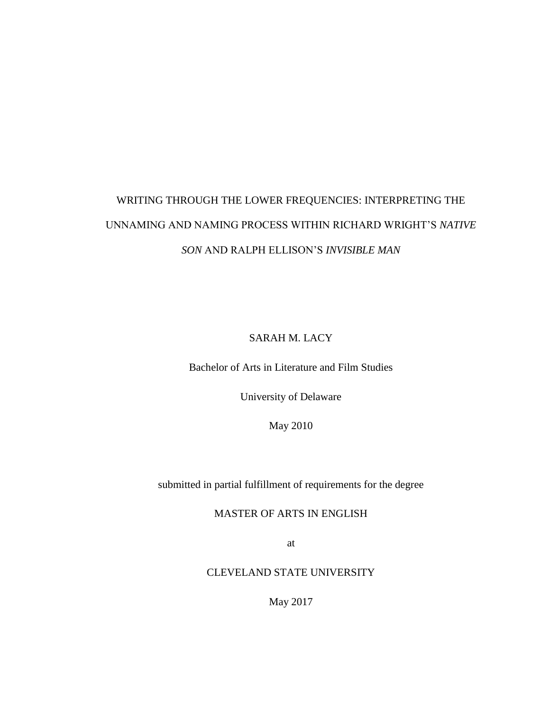# WRITING THROUGH THE LOWER FREQUENCIES: INTERPRETING THE UNNAMING AND NAMING PROCESS WITHIN RICHARD WRIGHT'S *NATIVE SON* AND RALPH ELLISON'S *INVISIBLE MAN*

SARAH M. LACY

Bachelor of Arts in Literature and Film Studies

University of Delaware

May 2010

submitted in partial fulfillment of requirements for the degree

MASTER OF ARTS IN ENGLISH

at

CLEVELAND STATE UNIVERSITY

May 2017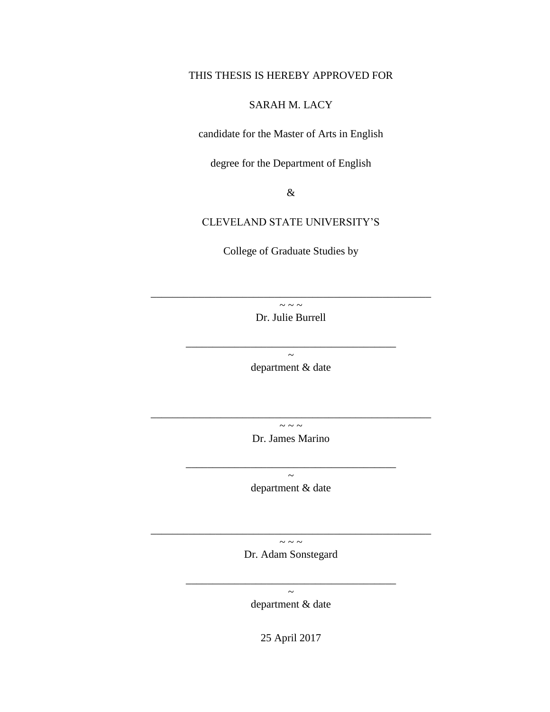# THIS THESIS IS HEREBY APPROVED FOR

# SARAH M. LACY

candidate for the Master of Arts in English

degree for the Department of English

&

## CLEVELAND STATE UNIVERSITY'S

College of Graduate Studies by

 $\sim \sim \sim$ Dr. Julie Burrell

\_\_\_\_\_\_\_\_\_\_\_\_\_\_\_\_\_\_\_\_\_\_\_\_\_\_\_\_\_\_\_\_\_\_\_\_\_\_\_

\_\_\_\_\_\_\_\_\_\_\_\_\_\_\_\_\_\_\_\_\_\_\_\_\_\_\_\_\_\_\_\_\_\_\_\_\_\_\_\_\_\_\_\_\_\_\_\_\_\_\_\_

 $\sim$ department & date

 $\sim$   $\sim$   $\sim$ Dr. James Marino

 $\frac{1}{2}$  ,  $\frac{1}{2}$  ,  $\frac{1}{2}$  ,  $\frac{1}{2}$  ,  $\frac{1}{2}$  ,  $\frac{1}{2}$  ,  $\frac{1}{2}$  ,  $\frac{1}{2}$  ,  $\frac{1}{2}$  ,  $\frac{1}{2}$  ,  $\frac{1}{2}$  ,  $\frac{1}{2}$  ,  $\frac{1}{2}$  ,  $\frac{1}{2}$  ,  $\frac{1}{2}$  ,  $\frac{1}{2}$  ,  $\frac{1}{2}$  ,  $\frac{1}{2}$  ,  $\frac{1$ 

\_\_\_\_\_\_\_\_\_\_\_\_\_\_\_\_\_\_\_\_\_\_\_\_\_\_\_\_\_\_\_\_\_\_\_\_\_\_\_\_\_\_\_\_\_\_\_\_\_\_\_\_

 $\sim$ department & date

 $\sim$  ~ ~ Dr. Adam Sonstegard

\_\_\_\_\_\_\_\_\_\_\_\_\_\_\_\_\_\_\_\_\_\_\_\_\_\_\_\_\_\_\_\_\_\_\_\_\_\_\_\_\_\_\_\_\_\_\_\_\_\_\_\_

 $\sim$ department & date

\_\_\_\_\_\_\_\_\_\_\_\_\_\_\_\_\_\_\_\_\_\_\_\_\_\_\_\_\_\_\_\_\_\_\_\_\_\_\_

25 April 2017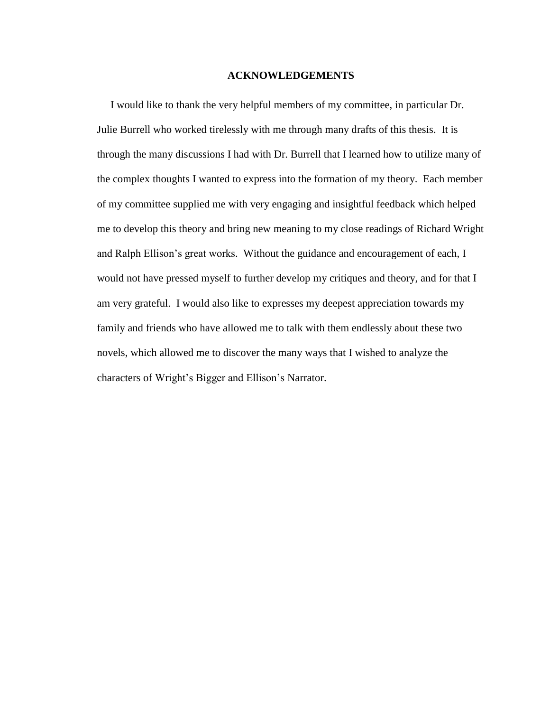### **ACKNOWLEDGEMENTS**

<span id="page-3-0"></span> I would like to thank the very helpful members of my committee, in particular Dr. Julie Burrell who worked tirelessly with me through many drafts of this thesis. It is through the many discussions I had with Dr. Burrell that I learned how to utilize many of the complex thoughts I wanted to express into the formation of my theory. Each member of my committee supplied me with very engaging and insightful feedback which helped me to develop this theory and bring new meaning to my close readings of Richard Wright and Ralph Ellison's great works. Without the guidance and encouragement of each, I would not have pressed myself to further develop my critiques and theory, and for that I am very grateful. I would also like to expresses my deepest appreciation towards my family and friends who have allowed me to talk with them endlessly about these two novels, which allowed me to discover the many ways that I wished to analyze the characters of Wright's Bigger and Ellison's Narrator.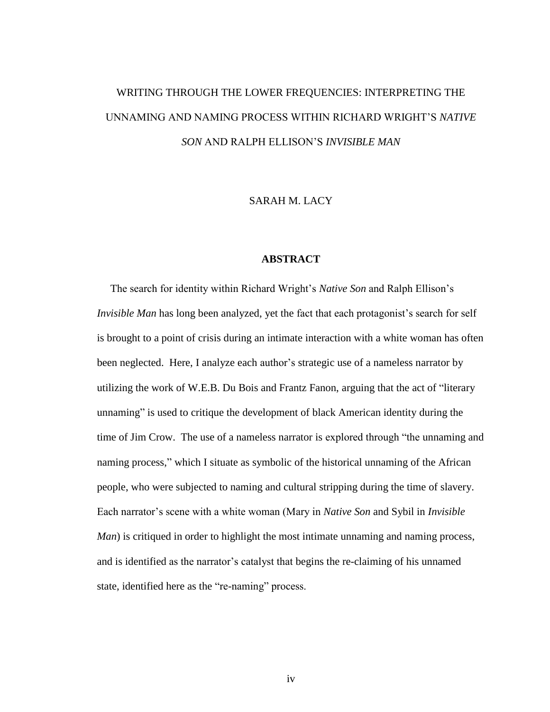# WRITING THROUGH THE LOWER FREQUENCIES: INTERPRETING THE UNNAMING AND NAMING PROCESS WITHIN RICHARD WRIGHT'S *NATIVE SON* AND RALPH ELLISON'S *INVISIBLE MAN*

SARAH M. LACY

#### **ABSTRACT**

<span id="page-4-0"></span> The search for identity within Richard Wright's *Native Son* and Ralph Ellison's *Invisible Man* has long been analyzed, yet the fact that each protagonist's search for self is brought to a point of crisis during an intimate interaction with a white woman has often been neglected. Here, I analyze each author's strategic use of a nameless narrator by utilizing the work of W.E.B. Du Bois and Frantz Fanon, arguing that the act of "literary unnaming" is used to critique the development of black American identity during the time of Jim Crow. The use of a nameless narrator is explored through "the unnaming and naming process," which I situate as symbolic of the historical unnaming of the African people, who were subjected to naming and cultural stripping during the time of slavery. Each narrator's scene with a white woman (Mary in *Native Son* and Sybil in *Invisible Man*) is critiqued in order to highlight the most intimate unnaming and naming process, and is identified as the narrator's catalyst that begins the re-claiming of his unnamed state, identified here as the "re-naming" process.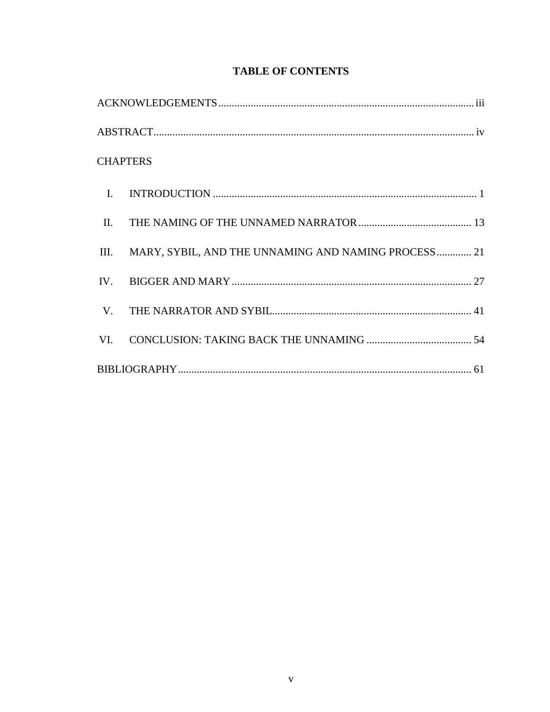| <b>CHAPTERS</b>                                          |  |
|----------------------------------------------------------|--|
|                                                          |  |
|                                                          |  |
| III. MARY, SYBIL, AND THE UNNAMING AND NAMING PROCESS 21 |  |
|                                                          |  |
|                                                          |  |
|                                                          |  |
|                                                          |  |

# **TABLE OF CONTENTS**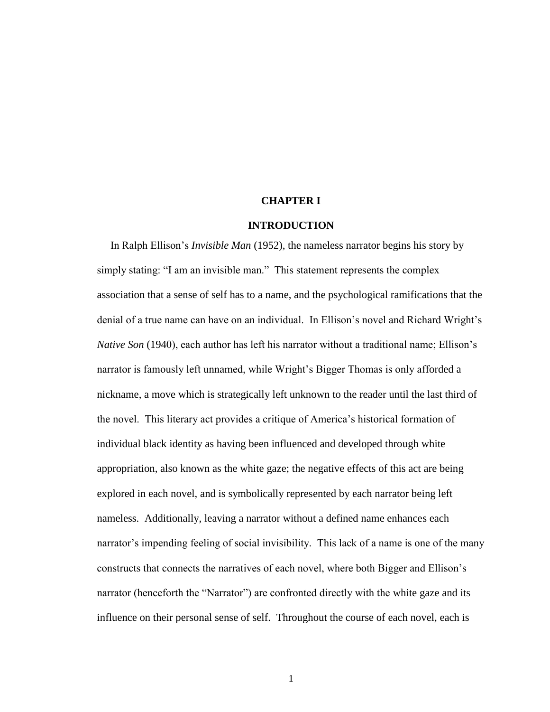#### **CHAPTER I**

#### **INTRODUCTION**

<span id="page-6-0"></span> In Ralph Ellison's *Invisible Man* (1952), the nameless narrator begins his story by simply stating: "I am an invisible man." This statement represents the complex association that a sense of self has to a name, and the psychological ramifications that the denial of a true name can have on an individual. In Ellison's novel and Richard Wright's *Native Son* (1940), each author has left his narrator without a traditional name; Ellison's narrator is famously left unnamed, while Wright's Bigger Thomas is only afforded a nickname, a move which is strategically left unknown to the reader until the last third of the novel. This literary act provides a critique of America's historical formation of individual black identity as having been influenced and developed through white appropriation, also known as the white gaze; the negative effects of this act are being explored in each novel, and is symbolically represented by each narrator being left nameless. Additionally, leaving a narrator without a defined name enhances each narrator's impending feeling of social invisibility. This lack of a name is one of the many constructs that connects the narratives of each novel, where both Bigger and Ellison's narrator (henceforth the "Narrator") are confronted directly with the white gaze and its influence on their personal sense of self. Throughout the course of each novel, each is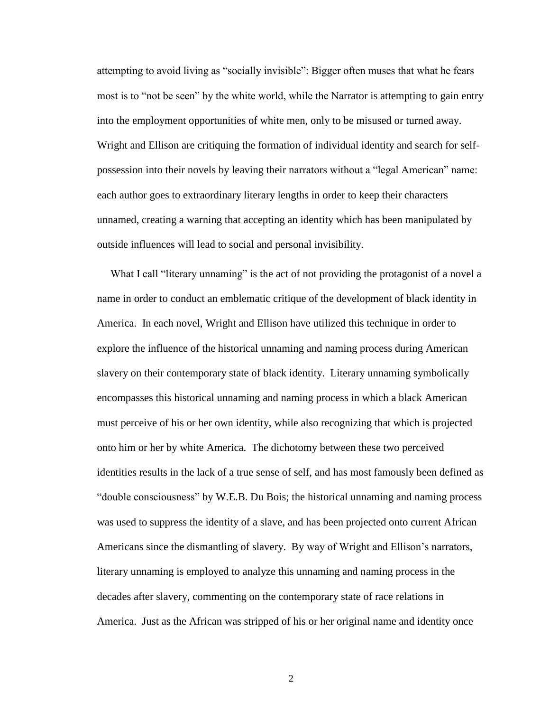attempting to avoid living as "socially invisible": Bigger often muses that what he fears most is to "not be seen" by the white world, while the Narrator is attempting to gain entry into the employment opportunities of white men, only to be misused or turned away. Wright and Ellison are critiquing the formation of individual identity and search for selfpossession into their novels by leaving their narrators without a "legal American" name: each author goes to extraordinary literary lengths in order to keep their characters unnamed, creating a warning that accepting an identity which has been manipulated by outside influences will lead to social and personal invisibility.

What I call "literary unnaming" is the act of not providing the protagonist of a novel a name in order to conduct an emblematic critique of the development of black identity in America. In each novel, Wright and Ellison have utilized this technique in order to explore the influence of the historical unnaming and naming process during American slavery on their contemporary state of black identity. Literary unnaming symbolically encompasses this historical unnaming and naming process in which a black American must perceive of his or her own identity, while also recognizing that which is projected onto him or her by white America. The dichotomy between these two perceived identities results in the lack of a true sense of self, and has most famously been defined as "double consciousness" by W.E.B. Du Bois; the historical unnaming and naming process was used to suppress the identity of a slave, and has been projected onto current African Americans since the dismantling of slavery. By way of Wright and Ellison's narrators, literary unnaming is employed to analyze this unnaming and naming process in the decades after slavery, commenting on the contemporary state of race relations in America. Just as the African was stripped of his or her original name and identity once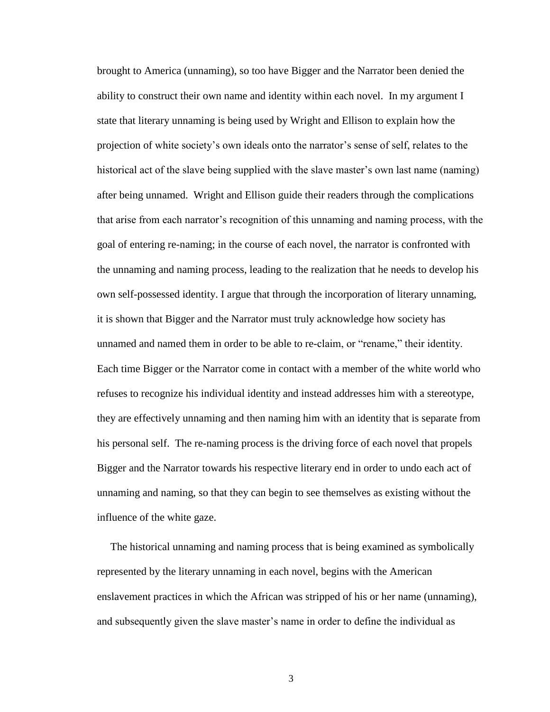brought to America (unnaming), so too have Bigger and the Narrator been denied the ability to construct their own name and identity within each novel. In my argument I state that literary unnaming is being used by Wright and Ellison to explain how the projection of white society's own ideals onto the narrator's sense of self, relates to the historical act of the slave being supplied with the slave master's own last name (naming) after being unnamed. Wright and Ellison guide their readers through the complications that arise from each narrator's recognition of this unnaming and naming process, with the goal of entering re-naming; in the course of each novel, the narrator is confronted with the unnaming and naming process, leading to the realization that he needs to develop his own self-possessed identity. I argue that through the incorporation of literary unnaming, it is shown that Bigger and the Narrator must truly acknowledge how society has unnamed and named them in order to be able to re-claim, or "rename," their identity. Each time Bigger or the Narrator come in contact with a member of the white world who refuses to recognize his individual identity and instead addresses him with a stereotype, they are effectively unnaming and then naming him with an identity that is separate from his personal self. The re-naming process is the driving force of each novel that propels Bigger and the Narrator towards his respective literary end in order to undo each act of unnaming and naming, so that they can begin to see themselves as existing without the influence of the white gaze.

 The historical unnaming and naming process that is being examined as symbolically represented by the literary unnaming in each novel, begins with the American enslavement practices in which the African was stripped of his or her name (unnaming), and subsequently given the slave master's name in order to define the individual as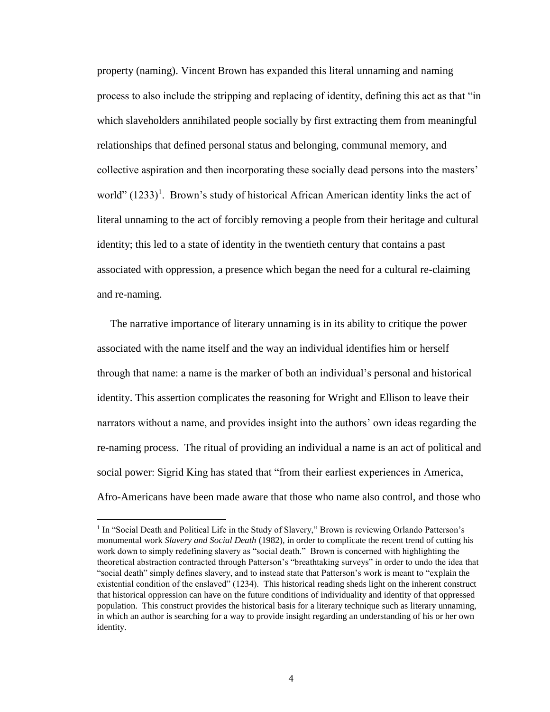property (naming). Vincent Brown has expanded this literal unnaming and naming process to also include the stripping and replacing of identity, defining this act as that "in which slaveholders annihilated people socially by first extracting them from meaningful relationships that defined personal status and belonging, communal memory, and collective aspiration and then incorporating these socially dead persons into the masters' world" (1233)<sup>1</sup>. Brown's study of historical African American identity links the act of literal unnaming to the act of forcibly removing a people from their heritage and cultural identity; this led to a state of identity in the twentieth century that contains a past associated with oppression, a presence which began the need for a cultural re-claiming and re-naming.

 The narrative importance of literary unnaming is in its ability to critique the power associated with the name itself and the way an individual identifies him or herself through that name: a name is the marker of both an individual's personal and historical identity. This assertion complicates the reasoning for Wright and Ellison to leave their narrators without a name, and provides insight into the authors' own ideas regarding the re-naming process. The ritual of providing an individual a name is an act of political and social power: Sigrid King has stated that "from their earliest experiences in America, Afro-Americans have been made aware that those who name also control, and those who

 $\overline{\phantom{a}}$ 

<sup>&</sup>lt;sup>1</sup> In "Social Death and Political Life in the Study of Slavery," Brown is reviewing Orlando Patterson's monumental work *Slavery and Social Death* (1982), in order to complicate the recent trend of cutting his work down to simply redefining slavery as "social death." Brown is concerned with highlighting the theoretical abstraction contracted through Patterson's "breathtaking surveys" in order to undo the idea that "social death" simply defines slavery, and to instead state that Patterson's work is meant to "explain the existential condition of the enslaved" (1234). This historical reading sheds light on the inherent construct that historical oppression can have on the future conditions of individuality and identity of that oppressed population. This construct provides the historical basis for a literary technique such as literary unnaming, in which an author is searching for a way to provide insight regarding an understanding of his or her own identity.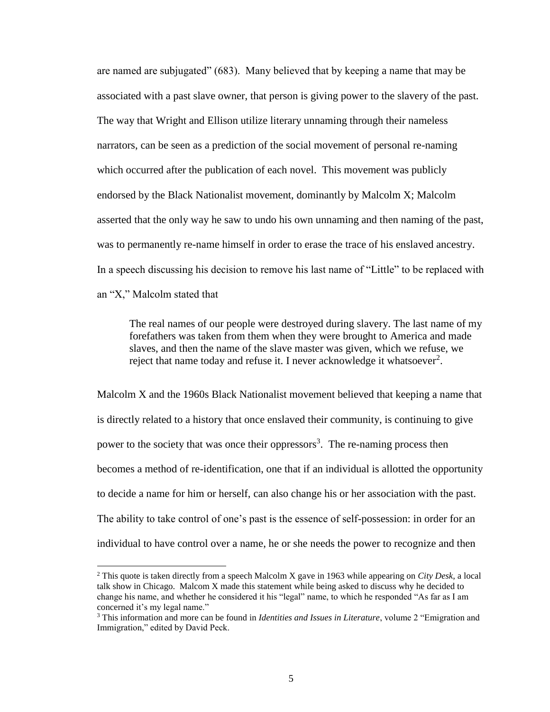are named are subjugated" (683). Many believed that by keeping a name that may be associated with a past slave owner, that person is giving power to the slavery of the past. The way that Wright and Ellison utilize literary unnaming through their nameless narrators, can be seen as a prediction of the social movement of personal re-naming which occurred after the publication of each novel. This movement was publicly endorsed by the Black Nationalist movement, dominantly by Malcolm X; Malcolm asserted that the only way he saw to undo his own unnaming and then naming of the past, was to permanently re-name himself in order to erase the trace of his enslaved ancestry. In a speech discussing his decision to remove his last name of "Little" to be replaced with an "X," Malcolm stated that

The real names of our people were destroyed during slavery. The last name of my forefathers was taken from them when they were brought to America and made slaves, and then the name of the slave master was given, which we refuse, we reject that name today and refuse it. I never acknowledge it whatsoever<sup>2</sup>.

Malcolm X and the 1960s Black Nationalist movement believed that keeping a name that is directly related to a history that once enslaved their community, is continuing to give power to the society that was once their oppressors<sup>3</sup>. The re-naming process then becomes a method of re-identification, one that if an individual is allotted the opportunity to decide a name for him or herself, can also change his or her association with the past. The ability to take control of one's past is the essence of self-possession: in order for an individual to have control over a name, he or she needs the power to recognize and then

 $\overline{\phantom{a}}$ 

<sup>2</sup> This quote is taken directly from a speech Malcolm X gave in 1963 while appearing on *City Desk*, a local talk show in Chicago. Malcom X made this statement while being asked to discuss why he decided to change his name, and whether he considered it his "legal" name, to which he responded "As far as I am concerned it's my legal name."

<sup>3</sup> This information and more can be found in *Identities and Issues in Literature*, volume 2 "Emigration and Immigration," edited by David Peck.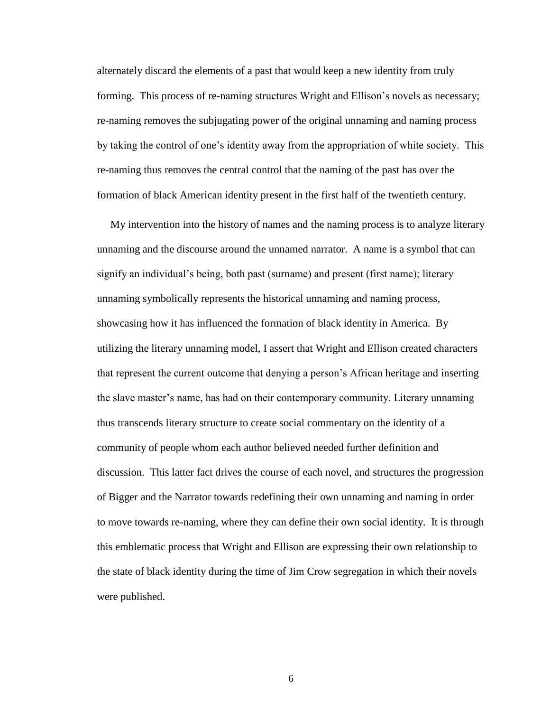alternately discard the elements of a past that would keep a new identity from truly forming. This process of re-naming structures Wright and Ellison's novels as necessary; re-naming removes the subjugating power of the original unnaming and naming process by taking the control of one's identity away from the appropriation of white society. This re-naming thus removes the central control that the naming of the past has over the formation of black American identity present in the first half of the twentieth century.

 My intervention into the history of names and the naming process is to analyze literary unnaming and the discourse around the unnamed narrator. A name is a symbol that can signify an individual's being, both past (surname) and present (first name); literary unnaming symbolically represents the historical unnaming and naming process, showcasing how it has influenced the formation of black identity in America. By utilizing the literary unnaming model, I assert that Wright and Ellison created characters that represent the current outcome that denying a person's African heritage and inserting the slave master's name, has had on their contemporary community. Literary unnaming thus transcends literary structure to create social commentary on the identity of a community of people whom each author believed needed further definition and discussion. This latter fact drives the course of each novel, and structures the progression of Bigger and the Narrator towards redefining their own unnaming and naming in order to move towards re-naming, where they can define their own social identity. It is through this emblematic process that Wright and Ellison are expressing their own relationship to the state of black identity during the time of Jim Crow segregation in which their novels were published.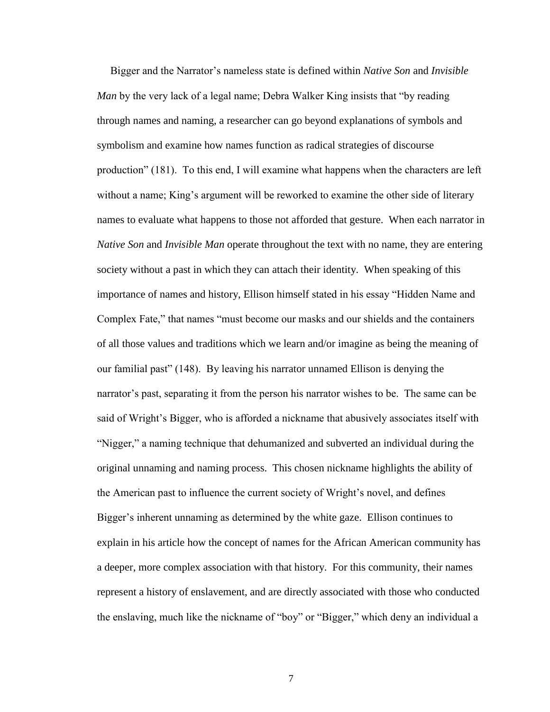Bigger and the Narrator's nameless state is defined within *Native Son* and *Invisible Man* by the very lack of a legal name; Debra Walker King insists that "by reading through names and naming, a researcher can go beyond explanations of symbols and symbolism and examine how names function as radical strategies of discourse production" (181). To this end, I will examine what happens when the characters are left without a name; King's argument will be reworked to examine the other side of literary names to evaluate what happens to those not afforded that gesture. When each narrator in *Native Son* and *Invisible Man* operate throughout the text with no name, they are entering society without a past in which they can attach their identity. When speaking of this importance of names and history, Ellison himself stated in his essay "Hidden Name and Complex Fate," that names "must become our masks and our shields and the containers of all those values and traditions which we learn and/or imagine as being the meaning of our familial past" (148). By leaving his narrator unnamed Ellison is denying the narrator's past, separating it from the person his narrator wishes to be. The same can be said of Wright's Bigger, who is afforded a nickname that abusively associates itself with "Nigger," a naming technique that dehumanized and subverted an individual during the original unnaming and naming process. This chosen nickname highlights the ability of the American past to influence the current society of Wright's novel, and defines Bigger's inherent unnaming as determined by the white gaze. Ellison continues to explain in his article how the concept of names for the African American community has a deeper, more complex association with that history. For this community, their names represent a history of enslavement, and are directly associated with those who conducted the enslaving, much like the nickname of "boy" or "Bigger," which deny an individual a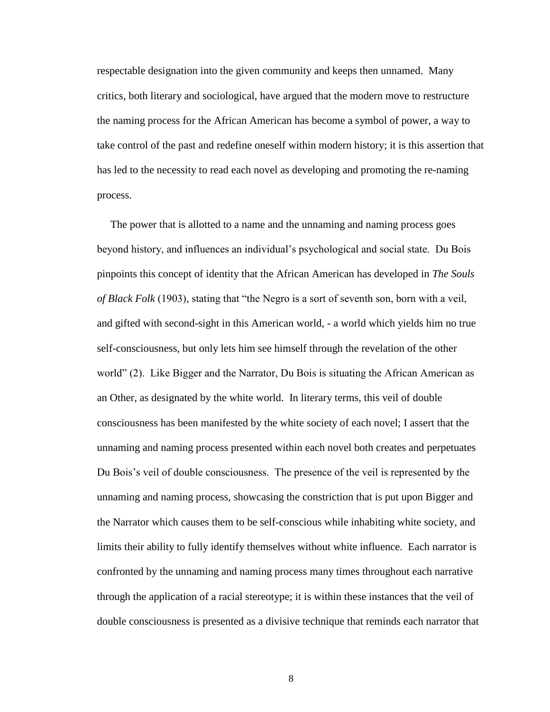respectable designation into the given community and keeps then unnamed. Many critics, both literary and sociological, have argued that the modern move to restructure the naming process for the African American has become a symbol of power, a way to take control of the past and redefine oneself within modern history; it is this assertion that has led to the necessity to read each novel as developing and promoting the re-naming process.

 The power that is allotted to a name and the unnaming and naming process goes beyond history, and influences an individual's psychological and social state. Du Bois pinpoints this concept of identity that the African American has developed in *The Souls of Black Folk* (1903), stating that "the Negro is a sort of seventh son, born with a veil, and gifted with second-sight in this American world, - a world which yields him no true self-consciousness, but only lets him see himself through the revelation of the other world" (2). Like Bigger and the Narrator, Du Bois is situating the African American as an Other, as designated by the white world. In literary terms, this veil of double consciousness has been manifested by the white society of each novel; I assert that the unnaming and naming process presented within each novel both creates and perpetuates Du Bois's veil of double consciousness. The presence of the veil is represented by the unnaming and naming process, showcasing the constriction that is put upon Bigger and the Narrator which causes them to be self-conscious while inhabiting white society, and limits their ability to fully identify themselves without white influence. Each narrator is confronted by the unnaming and naming process many times throughout each narrative through the application of a racial stereotype; it is within these instances that the veil of double consciousness is presented as a divisive technique that reminds each narrator that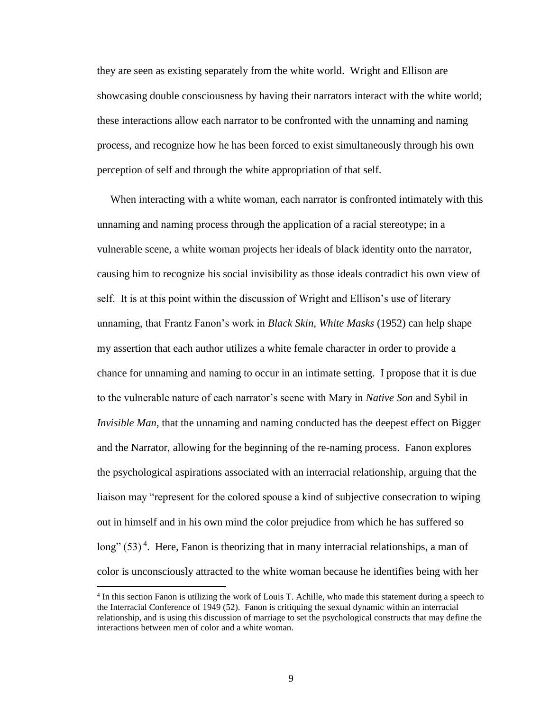they are seen as existing separately from the white world. Wright and Ellison are showcasing double consciousness by having their narrators interact with the white world; these interactions allow each narrator to be confronted with the unnaming and naming process, and recognize how he has been forced to exist simultaneously through his own perception of self and through the white appropriation of that self.

 When interacting with a white woman, each narrator is confronted intimately with this unnaming and naming process through the application of a racial stereotype; in a vulnerable scene, a white woman projects her ideals of black identity onto the narrator, causing him to recognize his social invisibility as those ideals contradict his own view of self. It is at this point within the discussion of Wright and Ellison's use of literary unnaming, that Frantz Fanon's work in *Black Skin, White Masks* (1952) can help shape my assertion that each author utilizes a white female character in order to provide a chance for unnaming and naming to occur in an intimate setting. I propose that it is due to the vulnerable nature of each narrator's scene with Mary in *Native Son* and Sybil in *Invisible Man*, that the unnaming and naming conducted has the deepest effect on Bigger and the Narrator, allowing for the beginning of the re-naming process. Fanon explores the psychological aspirations associated with an interracial relationship, arguing that the liaison may "represent for the colored spouse a kind of subjective consecration to wiping out in himself and in his own mind the color prejudice from which he has suffered so long"  $(53)^4$ . Here, Fanon is theorizing that in many interracial relationships, a man of color is unconsciously attracted to the white woman because he identifies being with her

 $\overline{a}$ 

<sup>&</sup>lt;sup>4</sup> In this section Fanon is utilizing the work of Louis T. Achille, who made this statement during a speech to the Interracial Conference of 1949 (52). Fanon is critiquing the sexual dynamic within an interracial relationship, and is using this discussion of marriage to set the psychological constructs that may define the interactions between men of color and a white woman.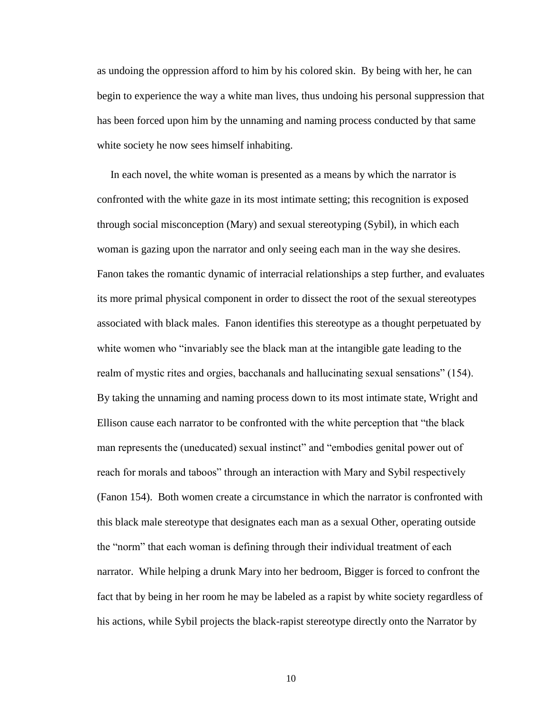as undoing the oppression afford to him by his colored skin. By being with her, he can begin to experience the way a white man lives, thus undoing his personal suppression that has been forced upon him by the unnaming and naming process conducted by that same white society he now sees himself inhabiting.

 In each novel, the white woman is presented as a means by which the narrator is confronted with the white gaze in its most intimate setting; this recognition is exposed through social misconception (Mary) and sexual stereotyping (Sybil), in which each woman is gazing upon the narrator and only seeing each man in the way she desires. Fanon takes the romantic dynamic of interracial relationships a step further, and evaluates its more primal physical component in order to dissect the root of the sexual stereotypes associated with black males. Fanon identifies this stereotype as a thought perpetuated by white women who "invariably see the black man at the intangible gate leading to the realm of mystic rites and orgies, bacchanals and hallucinating sexual sensations" (154). By taking the unnaming and naming process down to its most intimate state, Wright and Ellison cause each narrator to be confronted with the white perception that "the black man represents the (uneducated) sexual instinct" and "embodies genital power out of reach for morals and taboos" through an interaction with Mary and Sybil respectively (Fanon 154). Both women create a circumstance in which the narrator is confronted with this black male stereotype that designates each man as a sexual Other, operating outside the "norm" that each woman is defining through their individual treatment of each narrator. While helping a drunk Mary into her bedroom, Bigger is forced to confront the fact that by being in her room he may be labeled as a rapist by white society regardless of his actions, while Sybil projects the black-rapist stereotype directly onto the Narrator by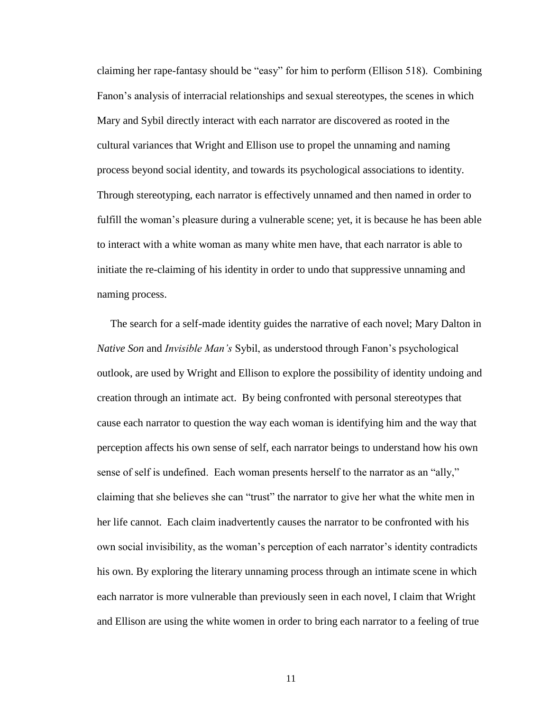claiming her rape-fantasy should be "easy" for him to perform (Ellison 518). Combining Fanon's analysis of interracial relationships and sexual stereotypes, the scenes in which Mary and Sybil directly interact with each narrator are discovered as rooted in the cultural variances that Wright and Ellison use to propel the unnaming and naming process beyond social identity, and towards its psychological associations to identity. Through stereotyping, each narrator is effectively unnamed and then named in order to fulfill the woman's pleasure during a vulnerable scene; yet, it is because he has been able to interact with a white woman as many white men have, that each narrator is able to initiate the re-claiming of his identity in order to undo that suppressive unnaming and naming process.

 The search for a self-made identity guides the narrative of each novel; Mary Dalton in *Native Son* and *Invisible Man's* Sybil, as understood through Fanon's psychological outlook, are used by Wright and Ellison to explore the possibility of identity undoing and creation through an intimate act. By being confronted with personal stereotypes that cause each narrator to question the way each woman is identifying him and the way that perception affects his own sense of self, each narrator beings to understand how his own sense of self is undefined. Each woman presents herself to the narrator as an "ally," claiming that she believes she can "trust" the narrator to give her what the white men in her life cannot. Each claim inadvertently causes the narrator to be confronted with his own social invisibility, as the woman's perception of each narrator's identity contradicts his own. By exploring the literary unnaming process through an intimate scene in which each narrator is more vulnerable than previously seen in each novel, I claim that Wright and Ellison are using the white women in order to bring each narrator to a feeling of true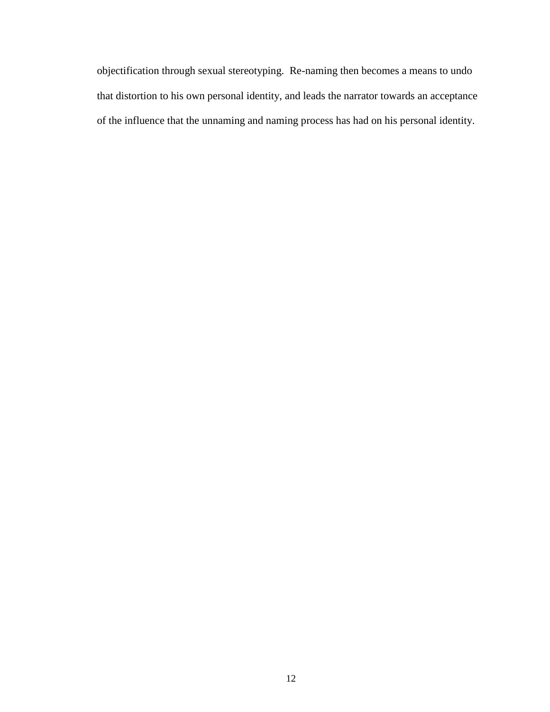objectification through sexual stereotyping. Re-naming then becomes a means to undo that distortion to his own personal identity, and leads the narrator towards an acceptance of the influence that the unnaming and naming process has had on his personal identity.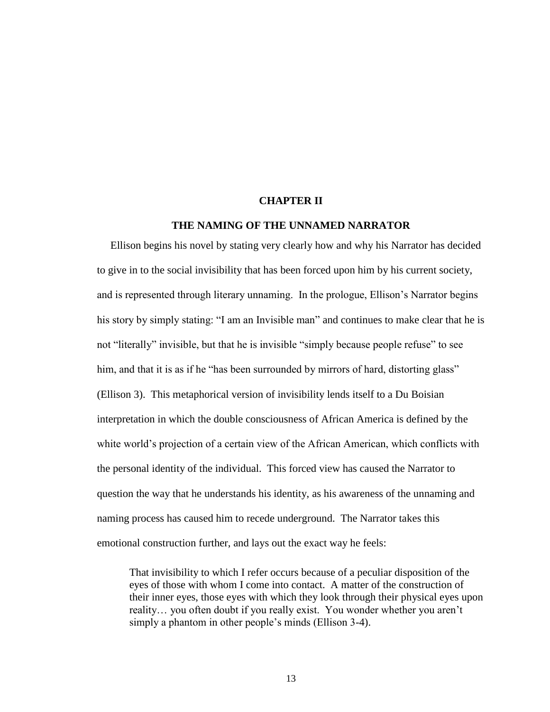#### **CHAPTER II**

#### <span id="page-18-0"></span>**THE NAMING OF THE UNNAMED NARRATOR**

 Ellison begins his novel by stating very clearly how and why his Narrator has decided to give in to the social invisibility that has been forced upon him by his current society, and is represented through literary unnaming. In the prologue, Ellison's Narrator begins his story by simply stating: "I am an Invisible man" and continues to make clear that he is not "literally" invisible, but that he is invisible "simply because people refuse" to see him, and that it is as if he "has been surrounded by mirrors of hard, distorting glass" (Ellison 3). This metaphorical version of invisibility lends itself to a Du Boisian interpretation in which the double consciousness of African America is defined by the white world's projection of a certain view of the African American, which conflicts with the personal identity of the individual. This forced view has caused the Narrator to question the way that he understands his identity, as his awareness of the unnaming and naming process has caused him to recede underground. The Narrator takes this emotional construction further, and lays out the exact way he feels:

That invisibility to which I refer occurs because of a peculiar disposition of the eyes of those with whom I come into contact. A matter of the construction of their inner eyes, those eyes with which they look through their physical eyes upon reality… you often doubt if you really exist. You wonder whether you aren't simply a phantom in other people's minds (Ellison 3-4).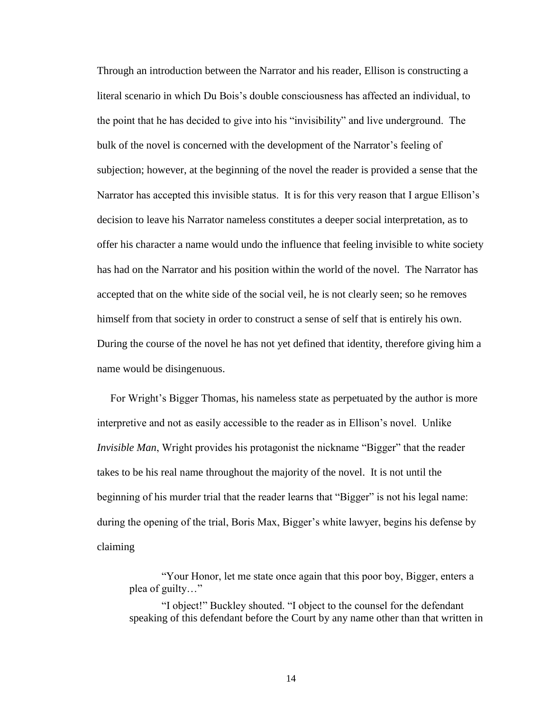Through an introduction between the Narrator and his reader, Ellison is constructing a literal scenario in which Du Bois's double consciousness has affected an individual, to the point that he has decided to give into his "invisibility" and live underground. The bulk of the novel is concerned with the development of the Narrator's feeling of subjection; however, at the beginning of the novel the reader is provided a sense that the Narrator has accepted this invisible status. It is for this very reason that I argue Ellison's decision to leave his Narrator nameless constitutes a deeper social interpretation, as to offer his character a name would undo the influence that feeling invisible to white society has had on the Narrator and his position within the world of the novel. The Narrator has accepted that on the white side of the social veil, he is not clearly seen; so he removes himself from that society in order to construct a sense of self that is entirely his own. During the course of the novel he has not yet defined that identity, therefore giving him a name would be disingenuous.

 For Wright's Bigger Thomas, his nameless state as perpetuated by the author is more interpretive and not as easily accessible to the reader as in Ellison's novel. Unlike *Invisible Man*, Wright provides his protagonist the nickname "Bigger" that the reader takes to be his real name throughout the majority of the novel. It is not until the beginning of his murder trial that the reader learns that "Bigger" is not his legal name: during the opening of the trial, Boris Max, Bigger's white lawyer, begins his defense by claiming

"Your Honor, let me state once again that this poor boy, Bigger, enters a plea of guilty…"

"I object!" Buckley shouted. "I object to the counsel for the defendant speaking of this defendant before the Court by any name other than that written in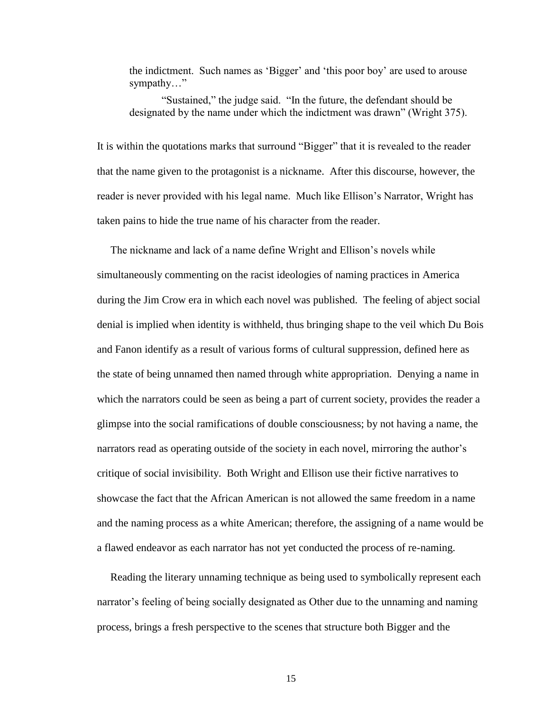the indictment. Such names as 'Bigger' and 'this poor boy' are used to arouse sympathy…"

"Sustained," the judge said. "In the future, the defendant should be designated by the name under which the indictment was drawn" (Wright 375).

It is within the quotations marks that surround "Bigger" that it is revealed to the reader that the name given to the protagonist is a nickname. After this discourse, however, the reader is never provided with his legal name. Much like Ellison's Narrator, Wright has taken pains to hide the true name of his character from the reader.

 The nickname and lack of a name define Wright and Ellison's novels while simultaneously commenting on the racist ideologies of naming practices in America during the Jim Crow era in which each novel was published. The feeling of abject social denial is implied when identity is withheld, thus bringing shape to the veil which Du Bois and Fanon identify as a result of various forms of cultural suppression, defined here as the state of being unnamed then named through white appropriation. Denying a name in which the narrators could be seen as being a part of current society, provides the reader a glimpse into the social ramifications of double consciousness; by not having a name, the narrators read as operating outside of the society in each novel, mirroring the author's critique of social invisibility. Both Wright and Ellison use their fictive narratives to showcase the fact that the African American is not allowed the same freedom in a name and the naming process as a white American; therefore, the assigning of a name would be a flawed endeavor as each narrator has not yet conducted the process of re-naming.

 Reading the literary unnaming technique as being used to symbolically represent each narrator's feeling of being socially designated as Other due to the unnaming and naming process, brings a fresh perspective to the scenes that structure both Bigger and the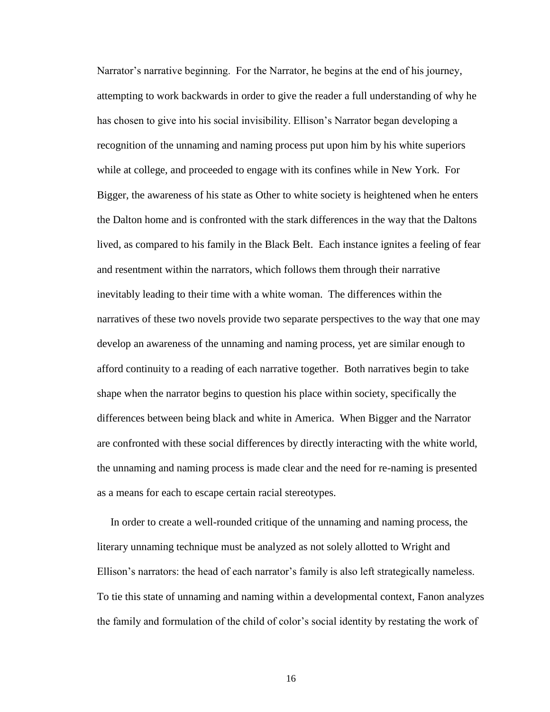Narrator's narrative beginning. For the Narrator, he begins at the end of his journey, attempting to work backwards in order to give the reader a full understanding of why he has chosen to give into his social invisibility. Ellison's Narrator began developing a recognition of the unnaming and naming process put upon him by his white superiors while at college, and proceeded to engage with its confines while in New York. For Bigger, the awareness of his state as Other to white society is heightened when he enters the Dalton home and is confronted with the stark differences in the way that the Daltons lived, as compared to his family in the Black Belt. Each instance ignites a feeling of fear and resentment within the narrators, which follows them through their narrative inevitably leading to their time with a white woman. The differences within the narratives of these two novels provide two separate perspectives to the way that one may develop an awareness of the unnaming and naming process, yet are similar enough to afford continuity to a reading of each narrative together. Both narratives begin to take shape when the narrator begins to question his place within society, specifically the differences between being black and white in America. When Bigger and the Narrator are confronted with these social differences by directly interacting with the white world, the unnaming and naming process is made clear and the need for re-naming is presented as a means for each to escape certain racial stereotypes.

 In order to create a well-rounded critique of the unnaming and naming process, the literary unnaming technique must be analyzed as not solely allotted to Wright and Ellison's narrators: the head of each narrator's family is also left strategically nameless. To tie this state of unnaming and naming within a developmental context, Fanon analyzes the family and formulation of the child of color's social identity by restating the work of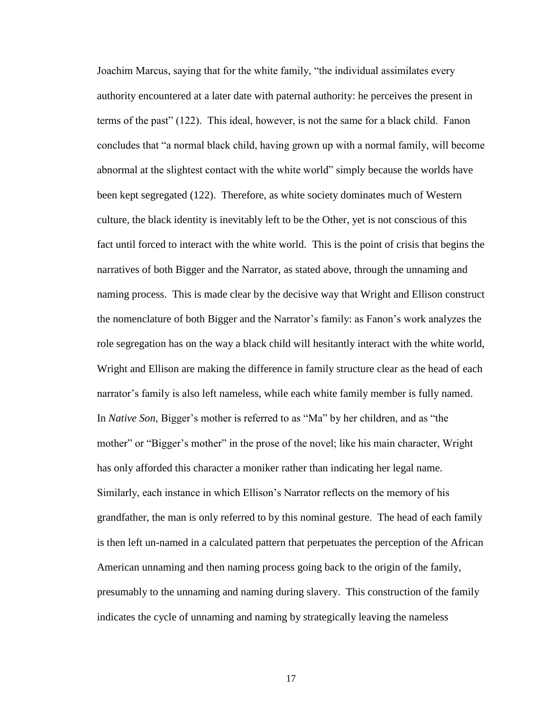Joachim Marcus, saying that for the white family, "the individual assimilates every authority encountered at a later date with paternal authority: he perceives the present in terms of the past" (122). This ideal, however, is not the same for a black child. Fanon concludes that "a normal black child, having grown up with a normal family, will become abnormal at the slightest contact with the white world" simply because the worlds have been kept segregated (122). Therefore, as white society dominates much of Western culture, the black identity is inevitably left to be the Other, yet is not conscious of this fact until forced to interact with the white world. This is the point of crisis that begins the narratives of both Bigger and the Narrator, as stated above, through the unnaming and naming process. This is made clear by the decisive way that Wright and Ellison construct the nomenclature of both Bigger and the Narrator's family: as Fanon's work analyzes the role segregation has on the way a black child will hesitantly interact with the white world, Wright and Ellison are making the difference in family structure clear as the head of each narrator's family is also left nameless, while each white family member is fully named. In *Native Son*, Bigger's mother is referred to as "Ma" by her children, and as "the mother" or "Bigger's mother" in the prose of the novel; like his main character, Wright has only afforded this character a moniker rather than indicating her legal name. Similarly, each instance in which Ellison's Narrator reflects on the memory of his grandfather, the man is only referred to by this nominal gesture. The head of each family is then left un-named in a calculated pattern that perpetuates the perception of the African American unnaming and then naming process going back to the origin of the family, presumably to the unnaming and naming during slavery. This construction of the family indicates the cycle of unnaming and naming by strategically leaving the nameless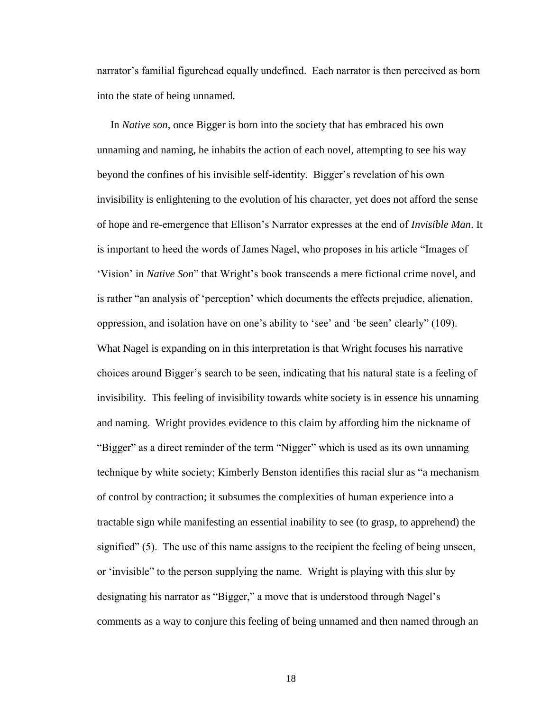narrator's familial figurehead equally undefined. Each narrator is then perceived as born into the state of being unnamed.

 In *Native son*, once Bigger is born into the society that has embraced his own unnaming and naming, he inhabits the action of each novel, attempting to see his way beyond the confines of his invisible self-identity. Bigger's revelation of his own invisibility is enlightening to the evolution of his character, yet does not afford the sense of hope and re-emergence that Ellison's Narrator expresses at the end of *Invisible Man*. It is important to heed the words of James Nagel, who proposes in his article "Images of 'Vision' in *Native Son*" that Wright's book transcends a mere fictional crime novel, and is rather "an analysis of 'perception' which documents the effects prejudice, alienation, oppression, and isolation have on one's ability to 'see' and 'be seen' clearly" (109). What Nagel is expanding on in this interpretation is that Wright focuses his narrative choices around Bigger's search to be seen, indicating that his natural state is a feeling of invisibility. This feeling of invisibility towards white society is in essence his unnaming and naming. Wright provides evidence to this claim by affording him the nickname of "Bigger" as a direct reminder of the term "Nigger" which is used as its own unnaming technique by white society; Kimberly Benston identifies this racial slur as "a mechanism of control by contraction; it subsumes the complexities of human experience into a tractable sign while manifesting an essential inability to see (to grasp, to apprehend) the signified" (5). The use of this name assigns to the recipient the feeling of being unseen, or 'invisible" to the person supplying the name. Wright is playing with this slur by designating his narrator as "Bigger," a move that is understood through Nagel's comments as a way to conjure this feeling of being unnamed and then named through an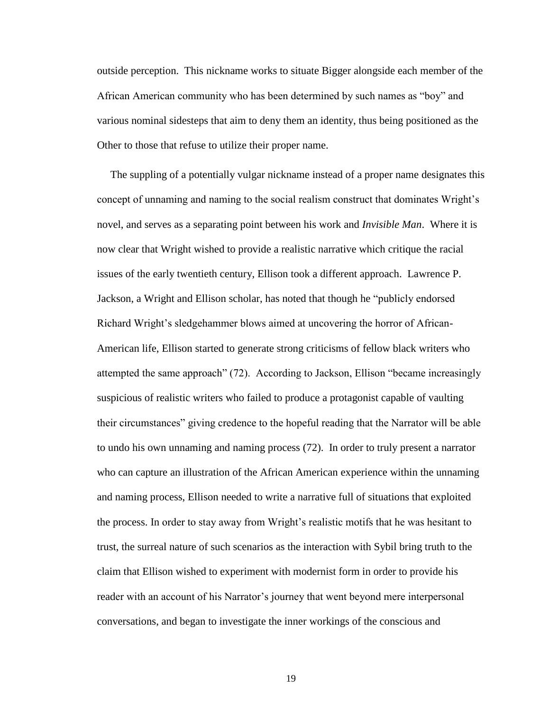outside perception. This nickname works to situate Bigger alongside each member of the African American community who has been determined by such names as "boy" and various nominal sidesteps that aim to deny them an identity, thus being positioned as the Other to those that refuse to utilize their proper name.

 The suppling of a potentially vulgar nickname instead of a proper name designates this concept of unnaming and naming to the social realism construct that dominates Wright's novel, and serves as a separating point between his work and *Invisible Man*. Where it is now clear that Wright wished to provide a realistic narrative which critique the racial issues of the early twentieth century, Ellison took a different approach. Lawrence P. Jackson, a Wright and Ellison scholar, has noted that though he "publicly endorsed Richard Wright's sledgehammer blows aimed at uncovering the horror of African-American life, Ellison started to generate strong criticisms of fellow black writers who attempted the same approach" (72). According to Jackson, Ellison "became increasingly suspicious of realistic writers who failed to produce a protagonist capable of vaulting their circumstances" giving credence to the hopeful reading that the Narrator will be able to undo his own unnaming and naming process (72). In order to truly present a narrator who can capture an illustration of the African American experience within the unnaming and naming process, Ellison needed to write a narrative full of situations that exploited the process. In order to stay away from Wright's realistic motifs that he was hesitant to trust, the surreal nature of such scenarios as the interaction with Sybil bring truth to the claim that Ellison wished to experiment with modernist form in order to provide his reader with an account of his Narrator's journey that went beyond mere interpersonal conversations, and began to investigate the inner workings of the conscious and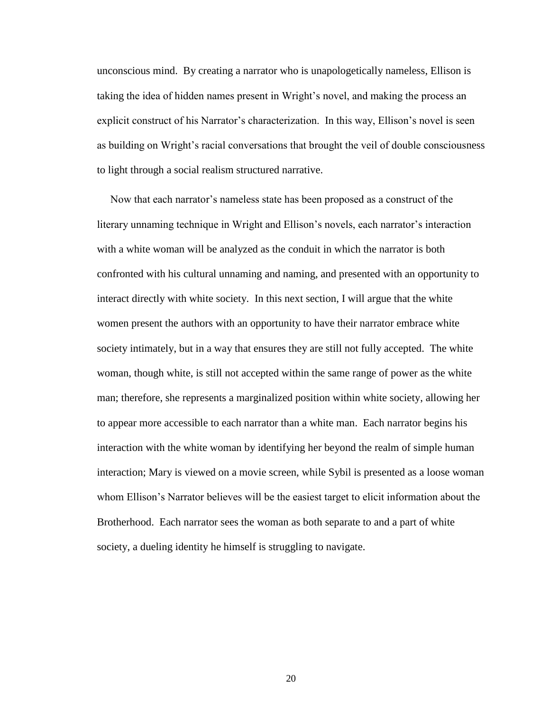unconscious mind. By creating a narrator who is unapologetically nameless, Ellison is taking the idea of hidden names present in Wright's novel, and making the process an explicit construct of his Narrator's characterization. In this way, Ellison's novel is seen as building on Wright's racial conversations that brought the veil of double consciousness to light through a social realism structured narrative.

 Now that each narrator's nameless state has been proposed as a construct of the literary unnaming technique in Wright and Ellison's novels, each narrator's interaction with a white woman will be analyzed as the conduit in which the narrator is both confronted with his cultural unnaming and naming, and presented with an opportunity to interact directly with white society. In this next section, I will argue that the white women present the authors with an opportunity to have their narrator embrace white society intimately, but in a way that ensures they are still not fully accepted. The white woman, though white, is still not accepted within the same range of power as the white man; therefore, she represents a marginalized position within white society, allowing her to appear more accessible to each narrator than a white man. Each narrator begins his interaction with the white woman by identifying her beyond the realm of simple human interaction; Mary is viewed on a movie screen, while Sybil is presented as a loose woman whom Ellison's Narrator believes will be the easiest target to elicit information about the Brotherhood. Each narrator sees the woman as both separate to and a part of white society, a dueling identity he himself is struggling to navigate.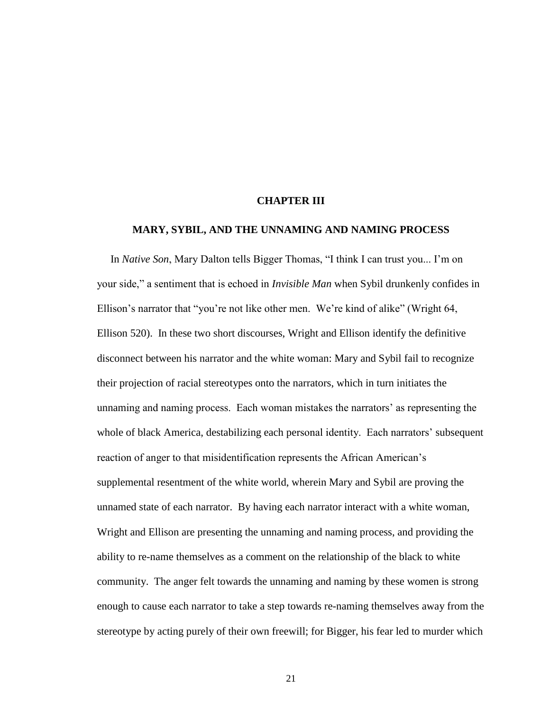#### **CHAPTER III**

## <span id="page-26-0"></span>**MARY, SYBIL, AND THE UNNAMING AND NAMING PROCESS**

 In *Native Son*, Mary Dalton tells Bigger Thomas, "I think I can trust you... I'm on your side," a sentiment that is echoed in *Invisible Man* when Sybil drunkenly confides in Ellison's narrator that "you're not like other men. We're kind of alike" (Wright 64, Ellison 520). In these two short discourses, Wright and Ellison identify the definitive disconnect between his narrator and the white woman: Mary and Sybil fail to recognize their projection of racial stereotypes onto the narrators, which in turn initiates the unnaming and naming process. Each woman mistakes the narrators' as representing the whole of black America, destabilizing each personal identity. Each narrators' subsequent reaction of anger to that misidentification represents the African American's supplemental resentment of the white world, wherein Mary and Sybil are proving the unnamed state of each narrator. By having each narrator interact with a white woman, Wright and Ellison are presenting the unnaming and naming process, and providing the ability to re-name themselves as a comment on the relationship of the black to white community. The anger felt towards the unnaming and naming by these women is strong enough to cause each narrator to take a step towards re-naming themselves away from the stereotype by acting purely of their own freewill; for Bigger, his fear led to murder which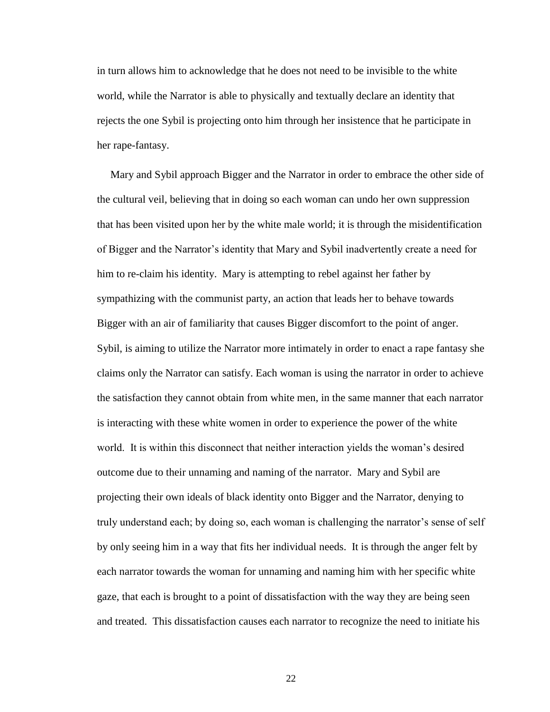in turn allows him to acknowledge that he does not need to be invisible to the white world, while the Narrator is able to physically and textually declare an identity that rejects the one Sybil is projecting onto him through her insistence that he participate in her rape-fantasy.

 Mary and Sybil approach Bigger and the Narrator in order to embrace the other side of the cultural veil, believing that in doing so each woman can undo her own suppression that has been visited upon her by the white male world; it is through the misidentification of Bigger and the Narrator's identity that Mary and Sybil inadvertently create a need for him to re-claim his identity. Mary is attempting to rebel against her father by sympathizing with the communist party, an action that leads her to behave towards Bigger with an air of familiarity that causes Bigger discomfort to the point of anger. Sybil, is aiming to utilize the Narrator more intimately in order to enact a rape fantasy she claims only the Narrator can satisfy. Each woman is using the narrator in order to achieve the satisfaction they cannot obtain from white men, in the same manner that each narrator is interacting with these white women in order to experience the power of the white world. It is within this disconnect that neither interaction yields the woman's desired outcome due to their unnaming and naming of the narrator. Mary and Sybil are projecting their own ideals of black identity onto Bigger and the Narrator, denying to truly understand each; by doing so, each woman is challenging the narrator's sense of self by only seeing him in a way that fits her individual needs. It is through the anger felt by each narrator towards the woman for unnaming and naming him with her specific white gaze, that each is brought to a point of dissatisfaction with the way they are being seen and treated. This dissatisfaction causes each narrator to recognize the need to initiate his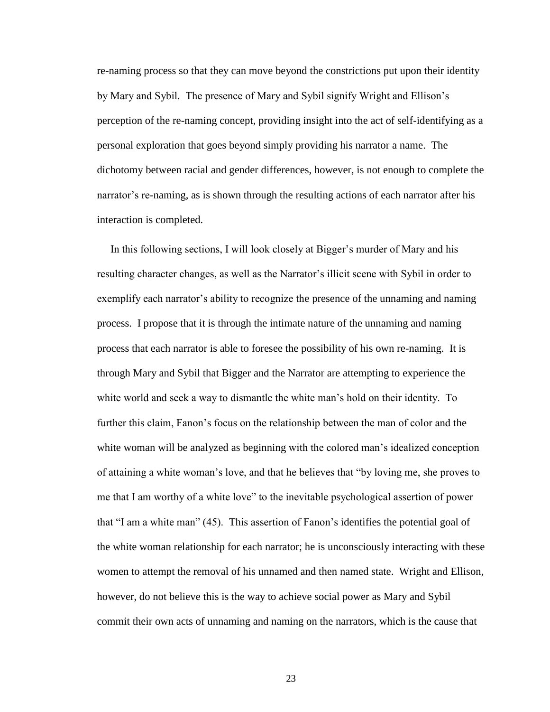re-naming process so that they can move beyond the constrictions put upon their identity by Mary and Sybil. The presence of Mary and Sybil signify Wright and Ellison's perception of the re-naming concept, providing insight into the act of self-identifying as a personal exploration that goes beyond simply providing his narrator a name. The dichotomy between racial and gender differences, however, is not enough to complete the narrator's re-naming, as is shown through the resulting actions of each narrator after his interaction is completed.

 In this following sections, I will look closely at Bigger's murder of Mary and his resulting character changes, as well as the Narrator's illicit scene with Sybil in order to exemplify each narrator's ability to recognize the presence of the unnaming and naming process. I propose that it is through the intimate nature of the unnaming and naming process that each narrator is able to foresee the possibility of his own re-naming. It is through Mary and Sybil that Bigger and the Narrator are attempting to experience the white world and seek a way to dismantle the white man's hold on their identity. To further this claim, Fanon's focus on the relationship between the man of color and the white woman will be analyzed as beginning with the colored man's idealized conception of attaining a white woman's love, and that he believes that "by loving me, she proves to me that I am worthy of a white love" to the inevitable psychological assertion of power that "I am a white man" (45). This assertion of Fanon's identifies the potential goal of the white woman relationship for each narrator; he is unconsciously interacting with these women to attempt the removal of his unnamed and then named state. Wright and Ellison, however, do not believe this is the way to achieve social power as Mary and Sybil commit their own acts of unnaming and naming on the narrators, which is the cause that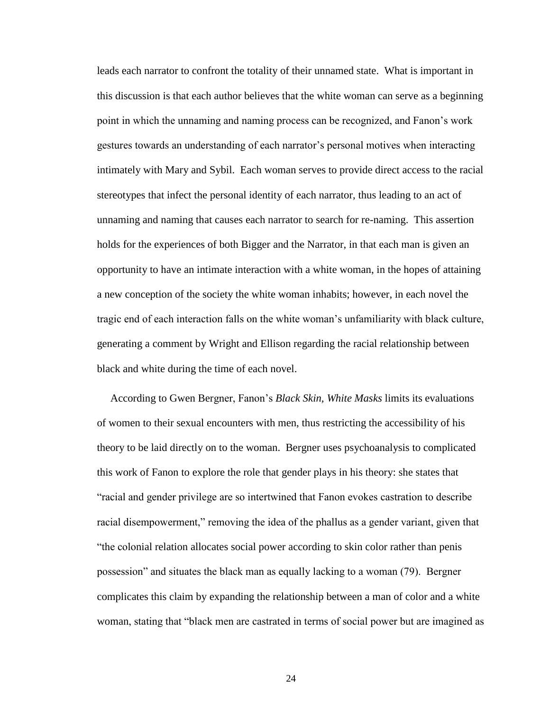leads each narrator to confront the totality of their unnamed state. What is important in this discussion is that each author believes that the white woman can serve as a beginning point in which the unnaming and naming process can be recognized, and Fanon's work gestures towards an understanding of each narrator's personal motives when interacting intimately with Mary and Sybil. Each woman serves to provide direct access to the racial stereotypes that infect the personal identity of each narrator, thus leading to an act of unnaming and naming that causes each narrator to search for re-naming. This assertion holds for the experiences of both Bigger and the Narrator, in that each man is given an opportunity to have an intimate interaction with a white woman, in the hopes of attaining a new conception of the society the white woman inhabits; however, in each novel the tragic end of each interaction falls on the white woman's unfamiliarity with black culture, generating a comment by Wright and Ellison regarding the racial relationship between black and white during the time of each novel.

 According to Gwen Bergner, Fanon's *Black Skin, White Masks* limits its evaluations of women to their sexual encounters with men, thus restricting the accessibility of his theory to be laid directly on to the woman. Bergner uses psychoanalysis to complicated this work of Fanon to explore the role that gender plays in his theory: she states that "racial and gender privilege are so intertwined that Fanon evokes castration to describe racial disempowerment," removing the idea of the phallus as a gender variant, given that "the colonial relation allocates social power according to skin color rather than penis possession" and situates the black man as equally lacking to a woman (79). Bergner complicates this claim by expanding the relationship between a man of color and a white woman, stating that "black men are castrated in terms of social power but are imagined as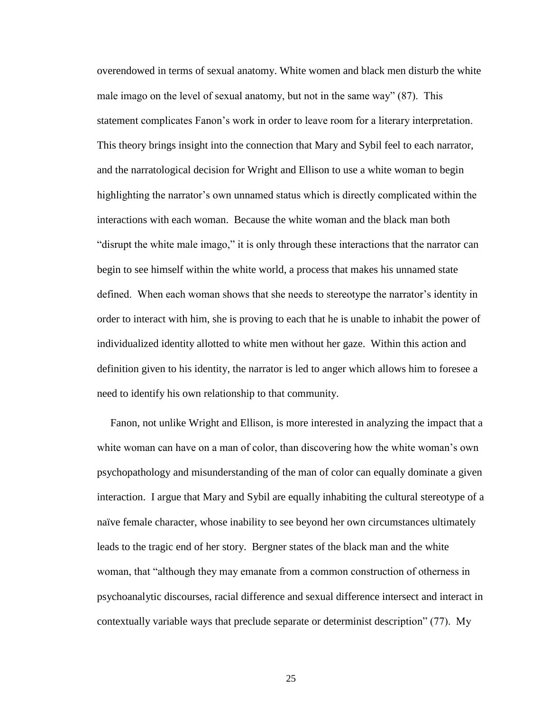overendowed in terms of sexual anatomy. White women and black men disturb the white male imago on the level of sexual anatomy, but not in the same way" (87). This statement complicates Fanon's work in order to leave room for a literary interpretation. This theory brings insight into the connection that Mary and Sybil feel to each narrator, and the narratological decision for Wright and Ellison to use a white woman to begin highlighting the narrator's own unnamed status which is directly complicated within the interactions with each woman. Because the white woman and the black man both "disrupt the white male imago," it is only through these interactions that the narrator can begin to see himself within the white world, a process that makes his unnamed state defined. When each woman shows that she needs to stereotype the narrator's identity in order to interact with him, she is proving to each that he is unable to inhabit the power of individualized identity allotted to white men without her gaze. Within this action and definition given to his identity, the narrator is led to anger which allows him to foresee a need to identify his own relationship to that community.

 Fanon, not unlike Wright and Ellison, is more interested in analyzing the impact that a white woman can have on a man of color, than discovering how the white woman's own psychopathology and misunderstanding of the man of color can equally dominate a given interaction. I argue that Mary and Sybil are equally inhabiting the cultural stereotype of a naïve female character, whose inability to see beyond her own circumstances ultimately leads to the tragic end of her story. Bergner states of the black man and the white woman, that "although they may emanate from a common construction of otherness in psychoanalytic discourses, racial difference and sexual difference intersect and interact in contextually variable ways that preclude separate or determinist description" (77). My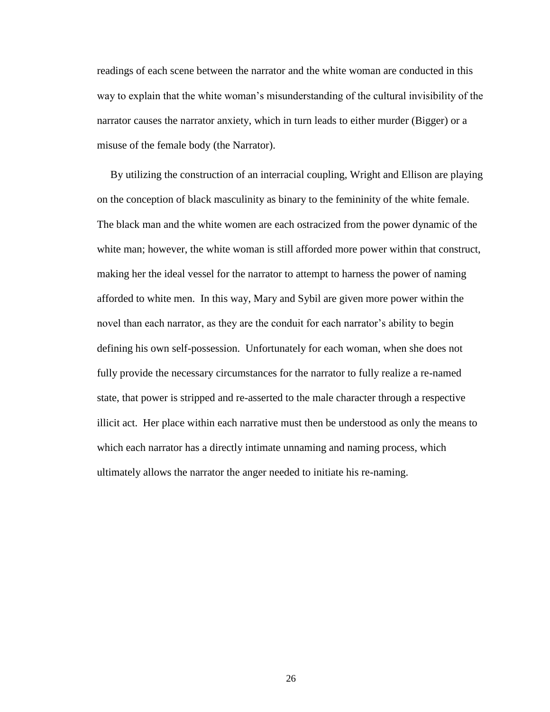readings of each scene between the narrator and the white woman are conducted in this way to explain that the white woman's misunderstanding of the cultural invisibility of the narrator causes the narrator anxiety, which in turn leads to either murder (Bigger) or a misuse of the female body (the Narrator).

 By utilizing the construction of an interracial coupling, Wright and Ellison are playing on the conception of black masculinity as binary to the femininity of the white female. The black man and the white women are each ostracized from the power dynamic of the white man; however, the white woman is still afforded more power within that construct, making her the ideal vessel for the narrator to attempt to harness the power of naming afforded to white men. In this way, Mary and Sybil are given more power within the novel than each narrator, as they are the conduit for each narrator's ability to begin defining his own self-possession. Unfortunately for each woman, when she does not fully provide the necessary circumstances for the narrator to fully realize a re-named state, that power is stripped and re-asserted to the male character through a respective illicit act. Her place within each narrative must then be understood as only the means to which each narrator has a directly intimate unnaming and naming process, which ultimately allows the narrator the anger needed to initiate his re-naming.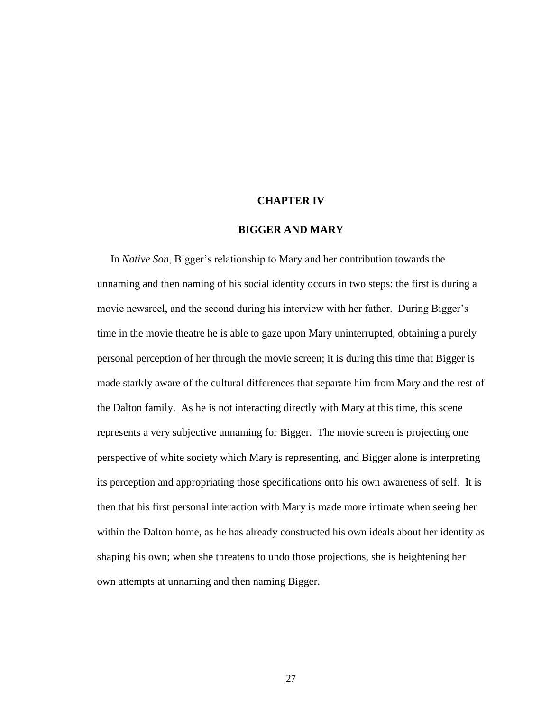#### **CHAPTER IV**

#### **BIGGER AND MARY**

<span id="page-32-0"></span> In *Native Son*, Bigger's relationship to Mary and her contribution towards the unnaming and then naming of his social identity occurs in two steps: the first is during a movie newsreel, and the second during his interview with her father. During Bigger's time in the movie theatre he is able to gaze upon Mary uninterrupted, obtaining a purely personal perception of her through the movie screen; it is during this time that Bigger is made starkly aware of the cultural differences that separate him from Mary and the rest of the Dalton family. As he is not interacting directly with Mary at this time, this scene represents a very subjective unnaming for Bigger. The movie screen is projecting one perspective of white society which Mary is representing, and Bigger alone is interpreting its perception and appropriating those specifications onto his own awareness of self. It is then that his first personal interaction with Mary is made more intimate when seeing her within the Dalton home, as he has already constructed his own ideals about her identity as shaping his own; when she threatens to undo those projections, she is heightening her own attempts at unnaming and then naming Bigger.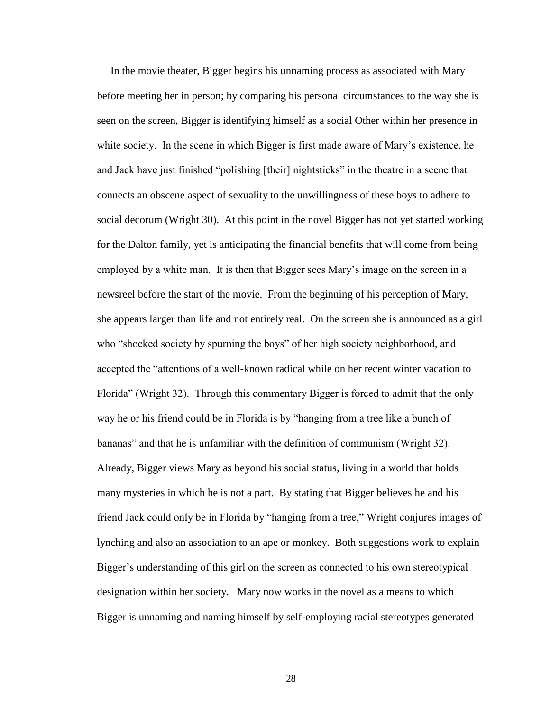In the movie theater, Bigger begins his unnaming process as associated with Mary before meeting her in person; by comparing his personal circumstances to the way she is seen on the screen, Bigger is identifying himself as a social Other within her presence in white society. In the scene in which Bigger is first made aware of Mary's existence, he and Jack have just finished "polishing [their] nightsticks" in the theatre in a scene that connects an obscene aspect of sexuality to the unwillingness of these boys to adhere to social decorum (Wright 30). At this point in the novel Bigger has not yet started working for the Dalton family, yet is anticipating the financial benefits that will come from being employed by a white man. It is then that Bigger sees Mary's image on the screen in a newsreel before the start of the movie. From the beginning of his perception of Mary, she appears larger than life and not entirely real. On the screen she is announced as a girl who "shocked society by spurning the boys" of her high society neighborhood, and accepted the "attentions of a well-known radical while on her recent winter vacation to Florida" (Wright 32). Through this commentary Bigger is forced to admit that the only way he or his friend could be in Florida is by "hanging from a tree like a bunch of bananas" and that he is unfamiliar with the definition of communism (Wright 32). Already, Bigger views Mary as beyond his social status, living in a world that holds many mysteries in which he is not a part. By stating that Bigger believes he and his friend Jack could only be in Florida by "hanging from a tree," Wright conjures images of lynching and also an association to an ape or monkey. Both suggestions work to explain Bigger's understanding of this girl on the screen as connected to his own stereotypical designation within her society. Mary now works in the novel as a means to which Bigger is unnaming and naming himself by self-employing racial stereotypes generated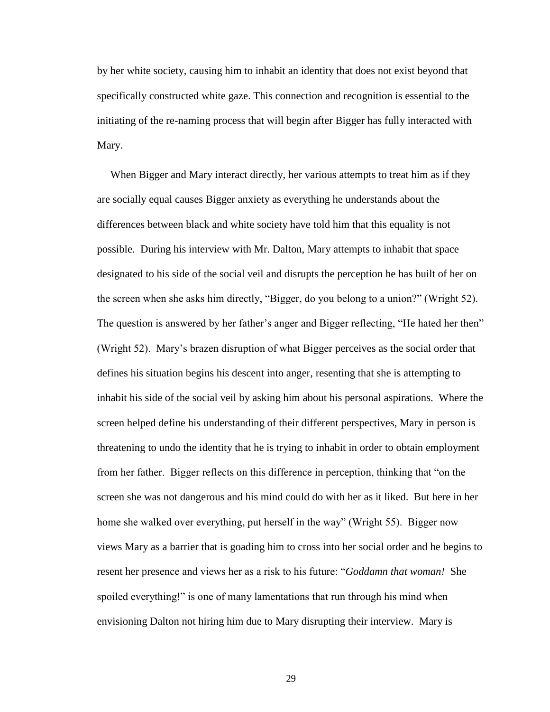by her white society, causing him to inhabit an identity that does not exist beyond that specifically constructed white gaze. This connection and recognition is essential to the initiating of the re-naming process that will begin after Bigger has fully interacted with Mary.

 When Bigger and Mary interact directly, her various attempts to treat him as if they are socially equal causes Bigger anxiety as everything he understands about the differences between black and white society have told him that this equality is not possible. During his interview with Mr. Dalton, Mary attempts to inhabit that space designated to his side of the social veil and disrupts the perception he has built of her on the screen when she asks him directly, "Bigger, do you belong to a union?" (Wright 52). The question is answered by her father's anger and Bigger reflecting, "He hated her then" (Wright 52). Mary's brazen disruption of what Bigger perceives as the social order that defines his situation begins his descent into anger, resenting that she is attempting to inhabit his side of the social veil by asking him about his personal aspirations. Where the screen helped define his understanding of their different perspectives, Mary in person is threatening to undo the identity that he is trying to inhabit in order to obtain employment from her father. Bigger reflects on this difference in perception, thinking that "on the screen she was not dangerous and his mind could do with her as it liked. But here in her home she walked over everything, put herself in the way" (Wright 55). Bigger now views Mary as a barrier that is goading him to cross into her social order and he begins to resent her presence and views her as a risk to his future: "*Goddamn that woman!* She spoiled everything!" is one of many lamentations that run through his mind when envisioning Dalton not hiring him due to Mary disrupting their interview. Mary is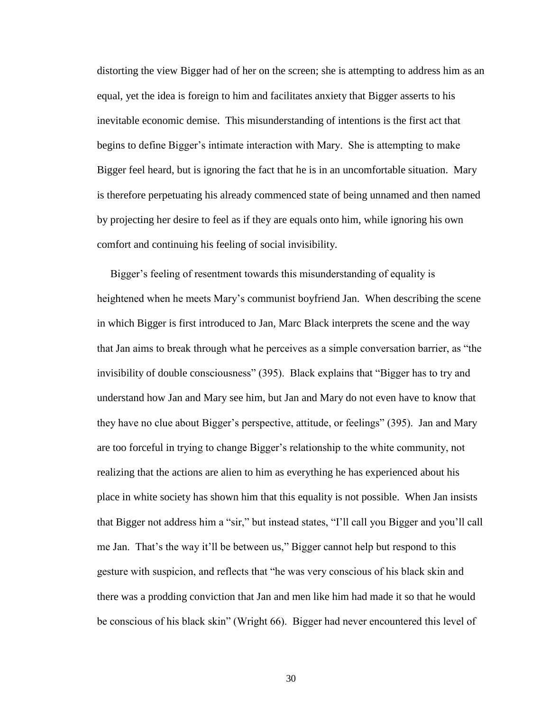distorting the view Bigger had of her on the screen; she is attempting to address him as an equal, yet the idea is foreign to him and facilitates anxiety that Bigger asserts to his inevitable economic demise. This misunderstanding of intentions is the first act that begins to define Bigger's intimate interaction with Mary. She is attempting to make Bigger feel heard, but is ignoring the fact that he is in an uncomfortable situation. Mary is therefore perpetuating his already commenced state of being unnamed and then named by projecting her desire to feel as if they are equals onto him, while ignoring his own comfort and continuing his feeling of social invisibility.

 Bigger's feeling of resentment towards this misunderstanding of equality is heightened when he meets Mary's communist boyfriend Jan. When describing the scene in which Bigger is first introduced to Jan, Marc Black interprets the scene and the way that Jan aims to break through what he perceives as a simple conversation barrier, as "the invisibility of double consciousness" (395). Black explains that "Bigger has to try and understand how Jan and Mary see him, but Jan and Mary do not even have to know that they have no clue about Bigger's perspective, attitude, or feelings" (395). Jan and Mary are too forceful in trying to change Bigger's relationship to the white community, not realizing that the actions are alien to him as everything he has experienced about his place in white society has shown him that this equality is not possible. When Jan insists that Bigger not address him a "sir," but instead states, "I'll call you Bigger and you'll call me Jan. That's the way it'll be between us," Bigger cannot help but respond to this gesture with suspicion, and reflects that "he was very conscious of his black skin and there was a prodding conviction that Jan and men like him had made it so that he would be conscious of his black skin" (Wright 66). Bigger had never encountered this level of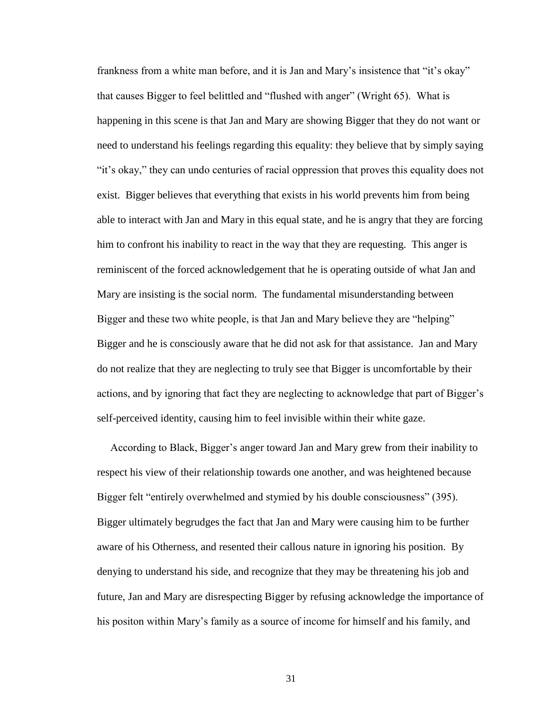frankness from a white man before, and it is Jan and Mary's insistence that "it's okay" that causes Bigger to feel belittled and "flushed with anger" (Wright 65). What is happening in this scene is that Jan and Mary are showing Bigger that they do not want or need to understand his feelings regarding this equality: they believe that by simply saying "it's okay," they can undo centuries of racial oppression that proves this equality does not exist. Bigger believes that everything that exists in his world prevents him from being able to interact with Jan and Mary in this equal state, and he is angry that they are forcing him to confront his inability to react in the way that they are requesting. This anger is reminiscent of the forced acknowledgement that he is operating outside of what Jan and Mary are insisting is the social norm. The fundamental misunderstanding between Bigger and these two white people, is that Jan and Mary believe they are "helping" Bigger and he is consciously aware that he did not ask for that assistance. Jan and Mary do not realize that they are neglecting to truly see that Bigger is uncomfortable by their actions, and by ignoring that fact they are neglecting to acknowledge that part of Bigger's self-perceived identity, causing him to feel invisible within their white gaze.

 According to Black, Bigger's anger toward Jan and Mary grew from their inability to respect his view of their relationship towards one another, and was heightened because Bigger felt "entirely overwhelmed and stymied by his double consciousness" (395). Bigger ultimately begrudges the fact that Jan and Mary were causing him to be further aware of his Otherness, and resented their callous nature in ignoring his position. By denying to understand his side, and recognize that they may be threatening his job and future, Jan and Mary are disrespecting Bigger by refusing acknowledge the importance of his positon within Mary's family as a source of income for himself and his family, and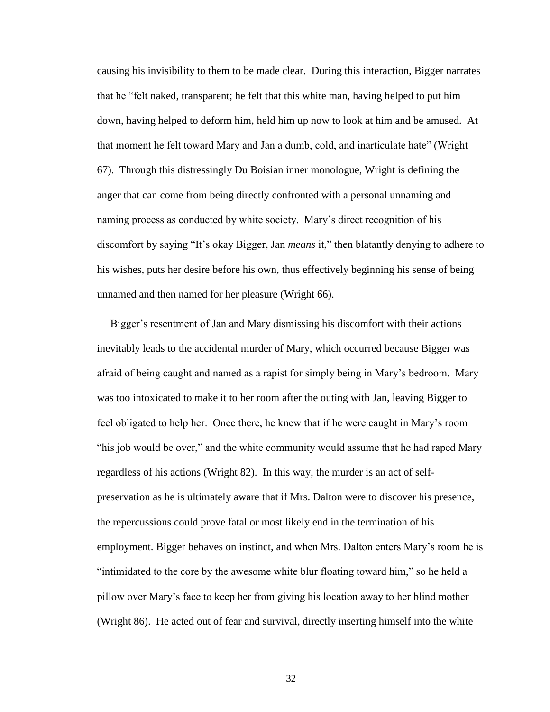causing his invisibility to them to be made clear. During this interaction, Bigger narrates that he "felt naked, transparent; he felt that this white man, having helped to put him down, having helped to deform him, held him up now to look at him and be amused. At that moment he felt toward Mary and Jan a dumb, cold, and inarticulate hate" (Wright 67). Through this distressingly Du Boisian inner monologue, Wright is defining the anger that can come from being directly confronted with a personal unnaming and naming process as conducted by white society. Mary's direct recognition of his discomfort by saying "It's okay Bigger, Jan *means* it," then blatantly denying to adhere to his wishes, puts her desire before his own, thus effectively beginning his sense of being unnamed and then named for her pleasure (Wright 66).

 Bigger's resentment of Jan and Mary dismissing his discomfort with their actions inevitably leads to the accidental murder of Mary, which occurred because Bigger was afraid of being caught and named as a rapist for simply being in Mary's bedroom. Mary was too intoxicated to make it to her room after the outing with Jan, leaving Bigger to feel obligated to help her. Once there, he knew that if he were caught in Mary's room "his job would be over," and the white community would assume that he had raped Mary regardless of his actions (Wright 82). In this way, the murder is an act of selfpreservation as he is ultimately aware that if Mrs. Dalton were to discover his presence, the repercussions could prove fatal or most likely end in the termination of his employment. Bigger behaves on instinct, and when Mrs. Dalton enters Mary's room he is "intimidated to the core by the awesome white blur floating toward him," so he held a pillow over Mary's face to keep her from giving his location away to her blind mother (Wright 86). He acted out of fear and survival, directly inserting himself into the white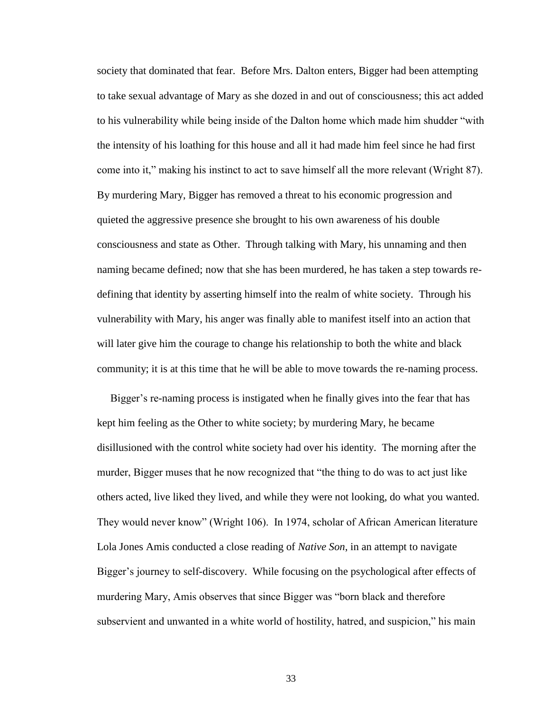society that dominated that fear. Before Mrs. Dalton enters, Bigger had been attempting to take sexual advantage of Mary as she dozed in and out of consciousness; this act added to his vulnerability while being inside of the Dalton home which made him shudder "with the intensity of his loathing for this house and all it had made him feel since he had first come into it," making his instinct to act to save himself all the more relevant (Wright 87). By murdering Mary, Bigger has removed a threat to his economic progression and quieted the aggressive presence she brought to his own awareness of his double consciousness and state as Other. Through talking with Mary, his unnaming and then naming became defined; now that she has been murdered, he has taken a step towards redefining that identity by asserting himself into the realm of white society. Through his vulnerability with Mary, his anger was finally able to manifest itself into an action that will later give him the courage to change his relationship to both the white and black community; it is at this time that he will be able to move towards the re-naming process.

 Bigger's re-naming process is instigated when he finally gives into the fear that has kept him feeling as the Other to white society; by murdering Mary, he became disillusioned with the control white society had over his identity. The morning after the murder, Bigger muses that he now recognized that "the thing to do was to act just like others acted, live liked they lived, and while they were not looking, do what you wanted. They would never know" (Wright 106). In 1974, scholar of African American literature Lola Jones Amis conducted a close reading of *Native Son*, in an attempt to navigate Bigger's journey to self-discovery. While focusing on the psychological after effects of murdering Mary, Amis observes that since Bigger was "born black and therefore subservient and unwanted in a white world of hostility, hatred, and suspicion," his main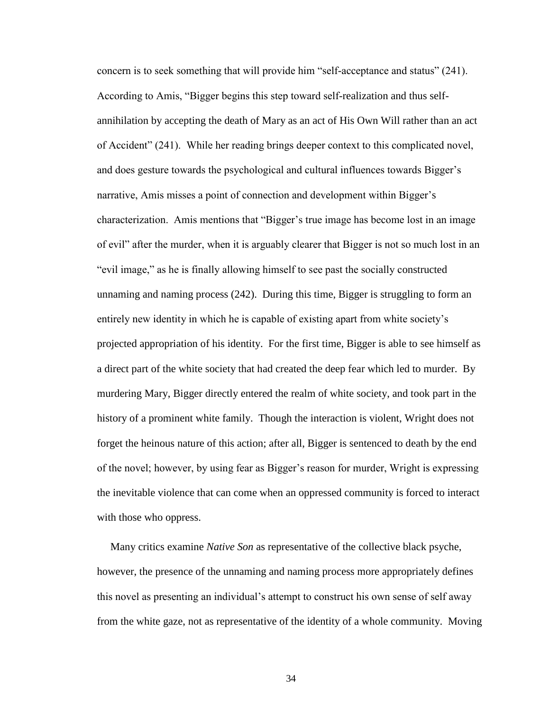concern is to seek something that will provide him "self-acceptance and status" (241). According to Amis, "Bigger begins this step toward self-realization and thus selfannihilation by accepting the death of Mary as an act of His Own Will rather than an act of Accident" (241). While her reading brings deeper context to this complicated novel, and does gesture towards the psychological and cultural influences towards Bigger's narrative, Amis misses a point of connection and development within Bigger's characterization. Amis mentions that "Bigger's true image has become lost in an image of evil" after the murder, when it is arguably clearer that Bigger is not so much lost in an "evil image," as he is finally allowing himself to see past the socially constructed unnaming and naming process (242). During this time, Bigger is struggling to form an entirely new identity in which he is capable of existing apart from white society's projected appropriation of his identity. For the first time, Bigger is able to see himself as a direct part of the white society that had created the deep fear which led to murder. By murdering Mary, Bigger directly entered the realm of white society, and took part in the history of a prominent white family. Though the interaction is violent, Wright does not forget the heinous nature of this action; after all, Bigger is sentenced to death by the end of the novel; however, by using fear as Bigger's reason for murder, Wright is expressing the inevitable violence that can come when an oppressed community is forced to interact with those who oppress.

 Many critics examine *Native Son* as representative of the collective black psyche, however, the presence of the unnaming and naming process more appropriately defines this novel as presenting an individual's attempt to construct his own sense of self away from the white gaze, not as representative of the identity of a whole community. Moving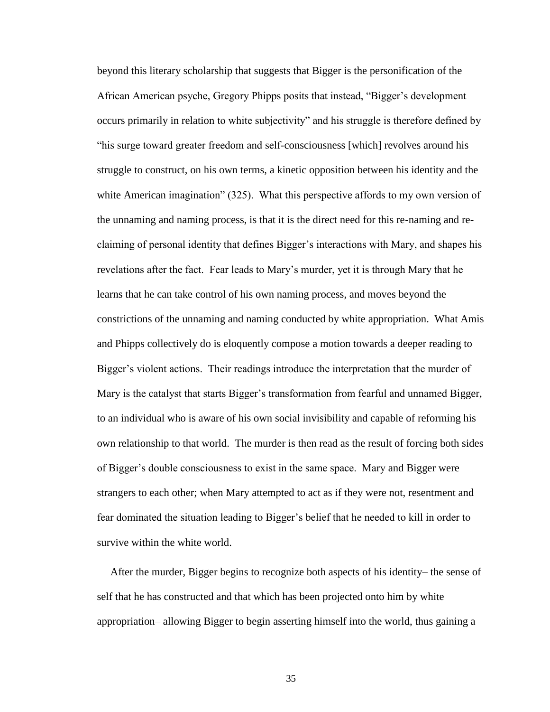beyond this literary scholarship that suggests that Bigger is the personification of the African American psyche, Gregory Phipps posits that instead, "Bigger's development occurs primarily in relation to white subjectivity" and his struggle is therefore defined by "his surge toward greater freedom and self-consciousness [which] revolves around his struggle to construct, on his own terms, a kinetic opposition between his identity and the white American imagination" (325). What this perspective affords to my own version of the unnaming and naming process, is that it is the direct need for this re-naming and reclaiming of personal identity that defines Bigger's interactions with Mary, and shapes his revelations after the fact. Fear leads to Mary's murder, yet it is through Mary that he learns that he can take control of his own naming process, and moves beyond the constrictions of the unnaming and naming conducted by white appropriation. What Amis and Phipps collectively do is eloquently compose a motion towards a deeper reading to Bigger's violent actions. Their readings introduce the interpretation that the murder of Mary is the catalyst that starts Bigger's transformation from fearful and unnamed Bigger, to an individual who is aware of his own social invisibility and capable of reforming his own relationship to that world. The murder is then read as the result of forcing both sides of Bigger's double consciousness to exist in the same space. Mary and Bigger were strangers to each other; when Mary attempted to act as if they were not, resentment and fear dominated the situation leading to Bigger's belief that he needed to kill in order to survive within the white world.

 After the murder, Bigger begins to recognize both aspects of his identity– the sense of self that he has constructed and that which has been projected onto him by white appropriation– allowing Bigger to begin asserting himself into the world, thus gaining a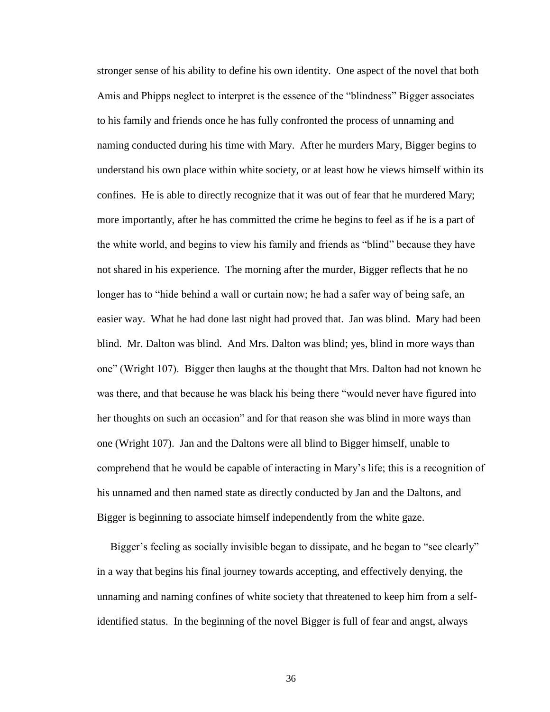stronger sense of his ability to define his own identity. One aspect of the novel that both Amis and Phipps neglect to interpret is the essence of the "blindness" Bigger associates to his family and friends once he has fully confronted the process of unnaming and naming conducted during his time with Mary. After he murders Mary, Bigger begins to understand his own place within white society, or at least how he views himself within its confines. He is able to directly recognize that it was out of fear that he murdered Mary; more importantly, after he has committed the crime he begins to feel as if he is a part of the white world, and begins to view his family and friends as "blind" because they have not shared in his experience. The morning after the murder, Bigger reflects that he no longer has to "hide behind a wall or curtain now; he had a safer way of being safe, an easier way. What he had done last night had proved that. Jan was blind. Mary had been blind. Mr. Dalton was blind. And Mrs. Dalton was blind; yes, blind in more ways than one" (Wright 107). Bigger then laughs at the thought that Mrs. Dalton had not known he was there, and that because he was black his being there "would never have figured into her thoughts on such an occasion" and for that reason she was blind in more ways than one (Wright 107). Jan and the Daltons were all blind to Bigger himself, unable to comprehend that he would be capable of interacting in Mary's life; this is a recognition of his unnamed and then named state as directly conducted by Jan and the Daltons, and Bigger is beginning to associate himself independently from the white gaze.

 Bigger's feeling as socially invisible began to dissipate, and he began to "see clearly" in a way that begins his final journey towards accepting, and effectively denying, the unnaming and naming confines of white society that threatened to keep him from a selfidentified status. In the beginning of the novel Bigger is full of fear and angst, always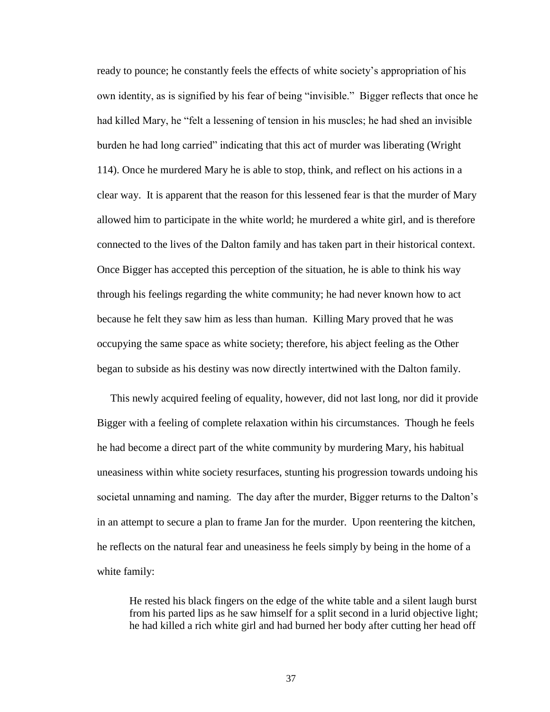ready to pounce; he constantly feels the effects of white society's appropriation of his own identity, as is signified by his fear of being "invisible." Bigger reflects that once he had killed Mary, he "felt a lessening of tension in his muscles; he had shed an invisible burden he had long carried" indicating that this act of murder was liberating (Wright 114). Once he murdered Mary he is able to stop, think, and reflect on his actions in a clear way. It is apparent that the reason for this lessened fear is that the murder of Mary allowed him to participate in the white world; he murdered a white girl, and is therefore connected to the lives of the Dalton family and has taken part in their historical context. Once Bigger has accepted this perception of the situation, he is able to think his way through his feelings regarding the white community; he had never known how to act because he felt they saw him as less than human. Killing Mary proved that he was occupying the same space as white society; therefore, his abject feeling as the Other began to subside as his destiny was now directly intertwined with the Dalton family.

 This newly acquired feeling of equality, however, did not last long, nor did it provide Bigger with a feeling of complete relaxation within his circumstances. Though he feels he had become a direct part of the white community by murdering Mary, his habitual uneasiness within white society resurfaces, stunting his progression towards undoing his societal unnaming and naming. The day after the murder, Bigger returns to the Dalton's in an attempt to secure a plan to frame Jan for the murder. Upon reentering the kitchen, he reflects on the natural fear and uneasiness he feels simply by being in the home of a white family:

He rested his black fingers on the edge of the white table and a silent laugh burst from his parted lips as he saw himself for a split second in a lurid objective light; he had killed a rich white girl and had burned her body after cutting her head off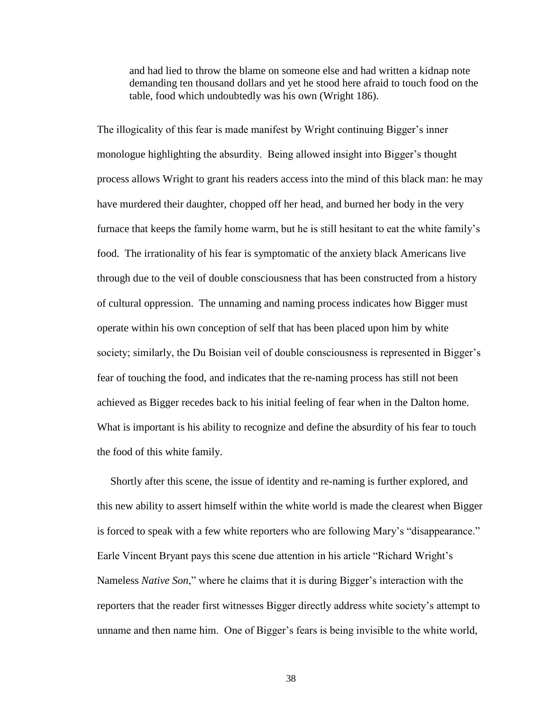and had lied to throw the blame on someone else and had written a kidnap note demanding ten thousand dollars and yet he stood here afraid to touch food on the table, food which undoubtedly was his own (Wright 186).

The illogicality of this fear is made manifest by Wright continuing Bigger's inner monologue highlighting the absurdity. Being allowed insight into Bigger's thought process allows Wright to grant his readers access into the mind of this black man: he may have murdered their daughter, chopped off her head, and burned her body in the very furnace that keeps the family home warm, but he is still hesitant to eat the white family's food. The irrationality of his fear is symptomatic of the anxiety black Americans live through due to the veil of double consciousness that has been constructed from a history of cultural oppression. The unnaming and naming process indicates how Bigger must operate within his own conception of self that has been placed upon him by white society; similarly, the Du Boisian veil of double consciousness is represented in Bigger's fear of touching the food, and indicates that the re-naming process has still not been achieved as Bigger recedes back to his initial feeling of fear when in the Dalton home. What is important is his ability to recognize and define the absurdity of his fear to touch the food of this white family.

 Shortly after this scene, the issue of identity and re-naming is further explored, and this new ability to assert himself within the white world is made the clearest when Bigger is forced to speak with a few white reporters who are following Mary's "disappearance." Earle Vincent Bryant pays this scene due attention in his article "Richard Wright's Nameless *Native Son*," where he claims that it is during Bigger's interaction with the reporters that the reader first witnesses Bigger directly address white society's attempt to unname and then name him. One of Bigger's fears is being invisible to the white world,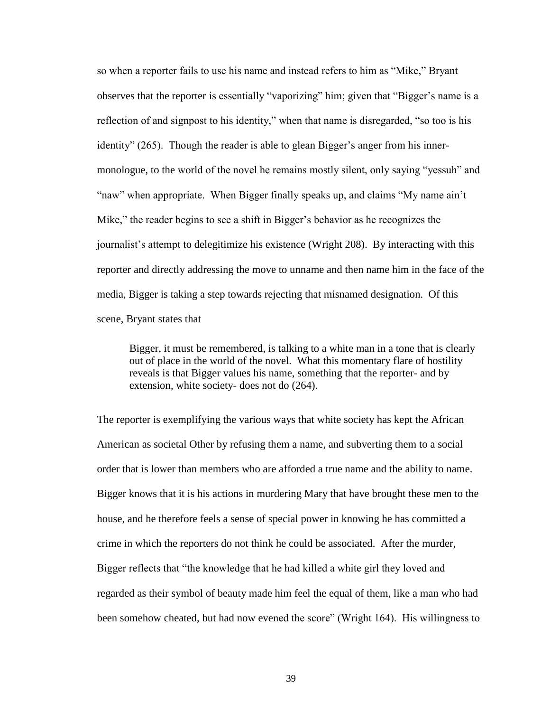so when a reporter fails to use his name and instead refers to him as "Mike," Bryant observes that the reporter is essentially "vaporizing" him; given that "Bigger's name is a reflection of and signpost to his identity," when that name is disregarded, "so too is his identity" (265). Though the reader is able to glean Bigger's anger from his innermonologue, to the world of the novel he remains mostly silent, only saying "yessuh" and "naw" when appropriate. When Bigger finally speaks up, and claims "My name ain't Mike," the reader begins to see a shift in Bigger's behavior as he recognizes the journalist's attempt to delegitimize his existence (Wright 208). By interacting with this reporter and directly addressing the move to unname and then name him in the face of the media, Bigger is taking a step towards rejecting that misnamed designation. Of this scene, Bryant states that

Bigger, it must be remembered, is talking to a white man in a tone that is clearly out of place in the world of the novel. What this momentary flare of hostility reveals is that Bigger values his name, something that the reporter- and by extension, white society- does not do (264).

The reporter is exemplifying the various ways that white society has kept the African American as societal Other by refusing them a name, and subverting them to a social order that is lower than members who are afforded a true name and the ability to name. Bigger knows that it is his actions in murdering Mary that have brought these men to the house, and he therefore feels a sense of special power in knowing he has committed a crime in which the reporters do not think he could be associated. After the murder, Bigger reflects that "the knowledge that he had killed a white girl they loved and regarded as their symbol of beauty made him feel the equal of them, like a man who had been somehow cheated, but had now evened the score" (Wright 164). His willingness to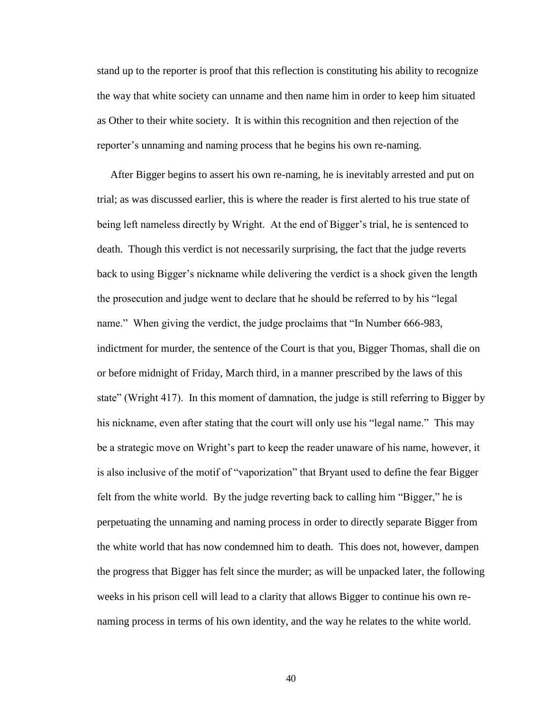stand up to the reporter is proof that this reflection is constituting his ability to recognize the way that white society can unname and then name him in order to keep him situated as Other to their white society. It is within this recognition and then rejection of the reporter's unnaming and naming process that he begins his own re-naming.

 After Bigger begins to assert his own re-naming, he is inevitably arrested and put on trial; as was discussed earlier, this is where the reader is first alerted to his true state of being left nameless directly by Wright. At the end of Bigger's trial, he is sentenced to death. Though this verdict is not necessarily surprising, the fact that the judge reverts back to using Bigger's nickname while delivering the verdict is a shock given the length the prosecution and judge went to declare that he should be referred to by his "legal name." When giving the verdict, the judge proclaims that "In Number 666-983, indictment for murder, the sentence of the Court is that you, Bigger Thomas, shall die on or before midnight of Friday, March third, in a manner prescribed by the laws of this state" (Wright 417). In this moment of damnation, the judge is still referring to Bigger by his nickname, even after stating that the court will only use his "legal name." This may be a strategic move on Wright's part to keep the reader unaware of his name, however, it is also inclusive of the motif of "vaporization" that Bryant used to define the fear Bigger felt from the white world. By the judge reverting back to calling him "Bigger," he is perpetuating the unnaming and naming process in order to directly separate Bigger from the white world that has now condemned him to death. This does not, however, dampen the progress that Bigger has felt since the murder; as will be unpacked later, the following weeks in his prison cell will lead to a clarity that allows Bigger to continue his own renaming process in terms of his own identity, and the way he relates to the white world.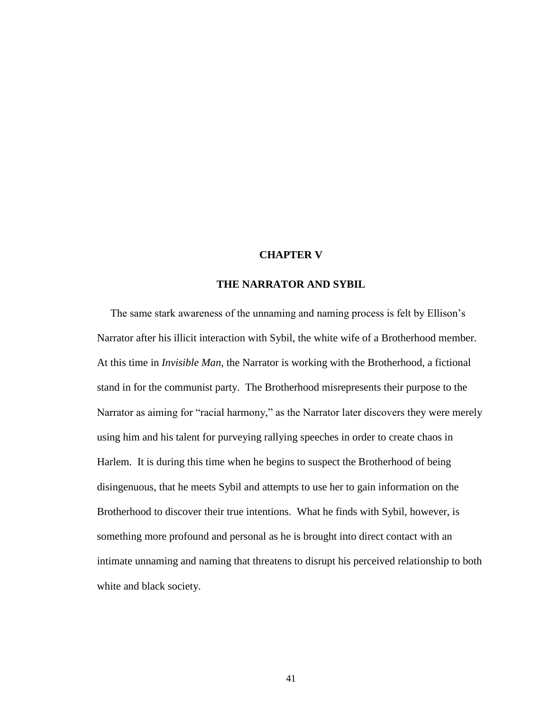#### **CHAPTER V**

### **THE NARRATOR AND SYBIL**

<span id="page-46-0"></span> The same stark awareness of the unnaming and naming process is felt by Ellison's Narrator after his illicit interaction with Sybil, the white wife of a Brotherhood member. At this time in *Invisible Man*, the Narrator is working with the Brotherhood, a fictional stand in for the communist party. The Brotherhood misrepresents their purpose to the Narrator as aiming for "racial harmony," as the Narrator later discovers they were merely using him and his talent for purveying rallying speeches in order to create chaos in Harlem. It is during this time when he begins to suspect the Brotherhood of being disingenuous, that he meets Sybil and attempts to use her to gain information on the Brotherhood to discover their true intentions. What he finds with Sybil, however, is something more profound and personal as he is brought into direct contact with an intimate unnaming and naming that threatens to disrupt his perceived relationship to both white and black society.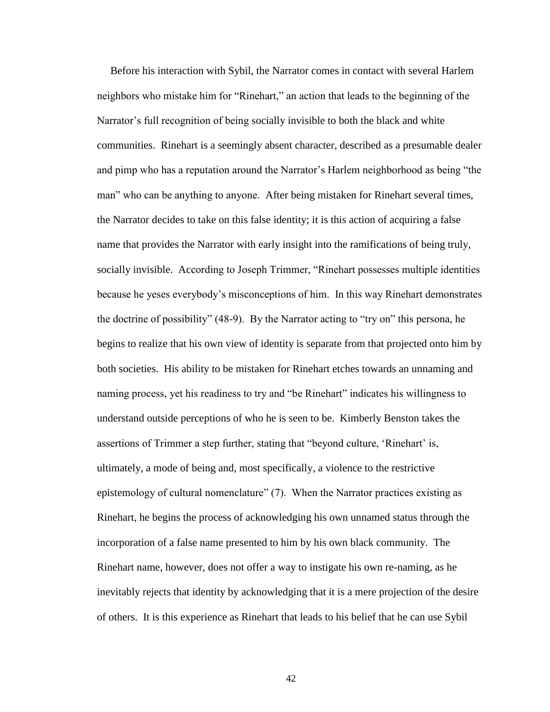Before his interaction with Sybil, the Narrator comes in contact with several Harlem neighbors who mistake him for "Rinehart," an action that leads to the beginning of the Narrator's full recognition of being socially invisible to both the black and white communities. Rinehart is a seemingly absent character, described as a presumable dealer and pimp who has a reputation around the Narrator's Harlem neighborhood as being "the man" who can be anything to anyone. After being mistaken for Rinehart several times, the Narrator decides to take on this false identity; it is this action of acquiring a false name that provides the Narrator with early insight into the ramifications of being truly, socially invisible. According to Joseph Trimmer, "Rinehart possesses multiple identities because he yeses everybody's misconceptions of him. In this way Rinehart demonstrates the doctrine of possibility" (48-9). By the Narrator acting to "try on" this persona, he begins to realize that his own view of identity is separate from that projected onto him by both societies. His ability to be mistaken for Rinehart etches towards an unnaming and naming process, yet his readiness to try and "be Rinehart" indicates his willingness to understand outside perceptions of who he is seen to be. Kimberly Benston takes the assertions of Trimmer a step further, stating that "beyond culture, 'Rinehart' is, ultimately, a mode of being and, most specifically, a violence to the restrictive epistemology of cultural nomenclature" (7). When the Narrator practices existing as Rinehart, he begins the process of acknowledging his own unnamed status through the incorporation of a false name presented to him by his own black community. The Rinehart name, however, does not offer a way to instigate his own re-naming, as he inevitably rejects that identity by acknowledging that it is a mere projection of the desire of others. It is this experience as Rinehart that leads to his belief that he can use Sybil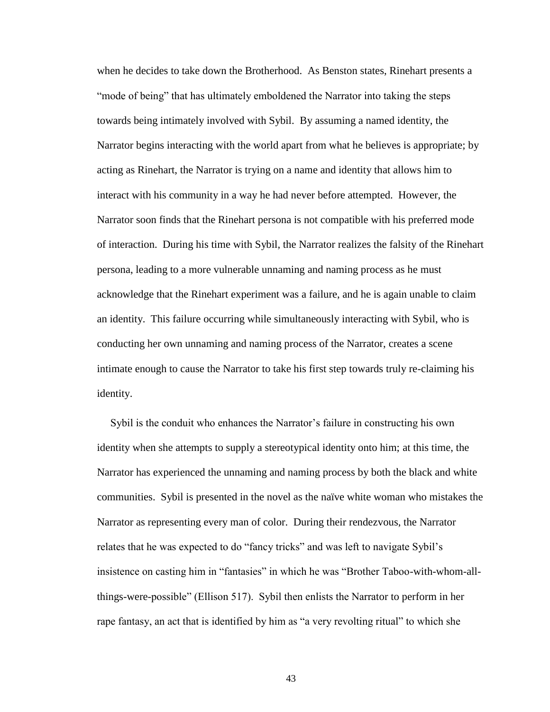when he decides to take down the Brotherhood. As Benston states, Rinehart presents a "mode of being" that has ultimately emboldened the Narrator into taking the steps towards being intimately involved with Sybil. By assuming a named identity, the Narrator begins interacting with the world apart from what he believes is appropriate; by acting as Rinehart, the Narrator is trying on a name and identity that allows him to interact with his community in a way he had never before attempted. However, the Narrator soon finds that the Rinehart persona is not compatible with his preferred mode of interaction. During his time with Sybil, the Narrator realizes the falsity of the Rinehart persona, leading to a more vulnerable unnaming and naming process as he must acknowledge that the Rinehart experiment was a failure, and he is again unable to claim an identity. This failure occurring while simultaneously interacting with Sybil, who is conducting her own unnaming and naming process of the Narrator, creates a scene intimate enough to cause the Narrator to take his first step towards truly re-claiming his identity.

 Sybil is the conduit who enhances the Narrator's failure in constructing his own identity when she attempts to supply a stereotypical identity onto him; at this time, the Narrator has experienced the unnaming and naming process by both the black and white communities. Sybil is presented in the novel as the naïve white woman who mistakes the Narrator as representing every man of color. During their rendezvous, the Narrator relates that he was expected to do "fancy tricks" and was left to navigate Sybil's insistence on casting him in "fantasies" in which he was "Brother Taboo-with-whom-allthings-were-possible" (Ellison 517). Sybil then enlists the Narrator to perform in her rape fantasy, an act that is identified by him as "a very revolting ritual" to which she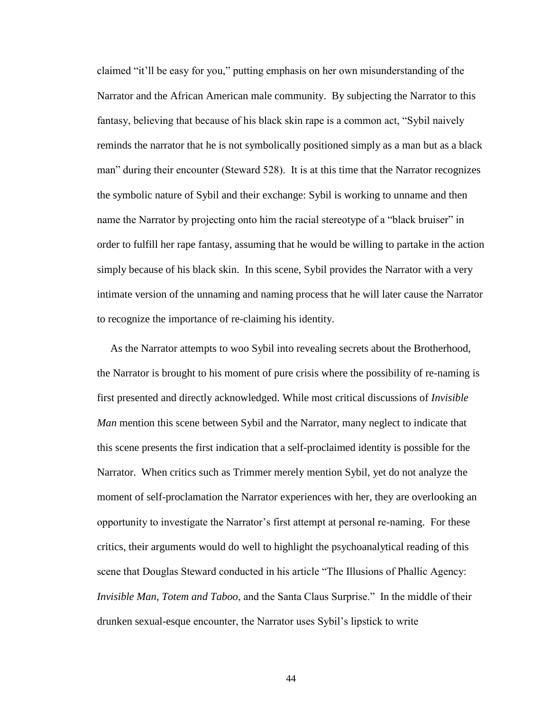claimed "it'll be easy for you," putting emphasis on her own misunderstanding of the Narrator and the African American male community. By subjecting the Narrator to this fantasy, believing that because of his black skin rape is a common act, "Sybil naively reminds the narrator that he is not symbolically positioned simply as a man but as a black man" during their encounter (Steward 528). It is at this time that the Narrator recognizes the symbolic nature of Sybil and their exchange: Sybil is working to unname and then name the Narrator by projecting onto him the racial stereotype of a "black bruiser" in order to fulfill her rape fantasy, assuming that he would be willing to partake in the action simply because of his black skin. In this scene, Sybil provides the Narrator with a very intimate version of the unnaming and naming process that he will later cause the Narrator to recognize the importance of re-claiming his identity.

 As the Narrator attempts to woo Sybil into revealing secrets about the Brotherhood, the Narrator is brought to his moment of pure crisis where the possibility of re-naming is first presented and directly acknowledged. While most critical discussions of *Invisible Man* mention this scene between Sybil and the Narrator, many neglect to indicate that this scene presents the first indication that a self-proclaimed identity is possible for the Narrator. When critics such as Trimmer merely mention Sybil, yet do not analyze the moment of self-proclamation the Narrator experiences with her, they are overlooking an opportunity to investigate the Narrator's first attempt at personal re-naming. For these critics, their arguments would do well to highlight the psychoanalytical reading of this scene that Douglas Steward conducted in his article "The Illusions of Phallic Agency: *Invisible Man*, *Totem and Taboo*, and the Santa Claus Surprise." In the middle of their drunken sexual-esque encounter, the Narrator uses Sybil's lipstick to write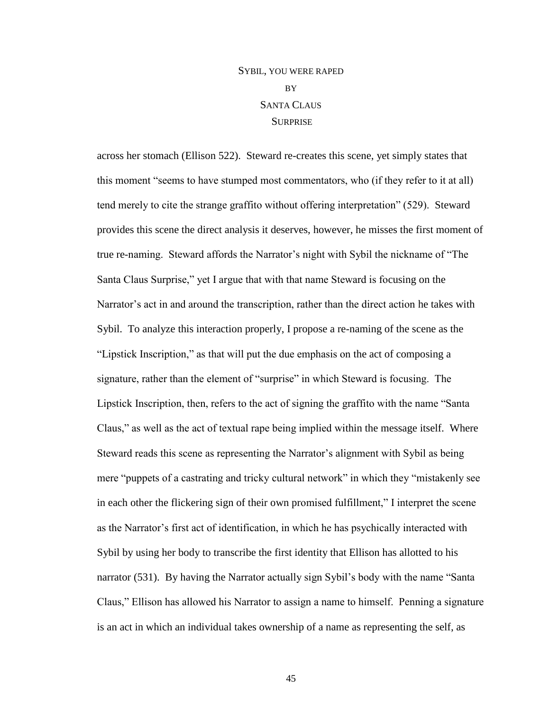# SYBIL, YOU WERE RAPED BY SANTA CLAUS **SURPRISE**

across her stomach (Ellison 522). Steward re-creates this scene, yet simply states that this moment "seems to have stumped most commentators, who (if they refer to it at all) tend merely to cite the strange graffito without offering interpretation" (529). Steward provides this scene the direct analysis it deserves, however, he misses the first moment of true re-naming. Steward affords the Narrator's night with Sybil the nickname of "The Santa Claus Surprise," yet I argue that with that name Steward is focusing on the Narrator's act in and around the transcription, rather than the direct action he takes with Sybil. To analyze this interaction properly, I propose a re-naming of the scene as the "Lipstick Inscription," as that will put the due emphasis on the act of composing a signature, rather than the element of "surprise" in which Steward is focusing. The Lipstick Inscription, then, refers to the act of signing the graffito with the name "Santa Claus," as well as the act of textual rape being implied within the message itself. Where Steward reads this scene as representing the Narrator's alignment with Sybil as being mere "puppets of a castrating and tricky cultural network" in which they "mistakenly see in each other the flickering sign of their own promised fulfillment," I interpret the scene as the Narrator's first act of identification, in which he has psychically interacted with Sybil by using her body to transcribe the first identity that Ellison has allotted to his narrator (531). By having the Narrator actually sign Sybil's body with the name "Santa Claus," Ellison has allowed his Narrator to assign a name to himself. Penning a signature is an act in which an individual takes ownership of a name as representing the self, as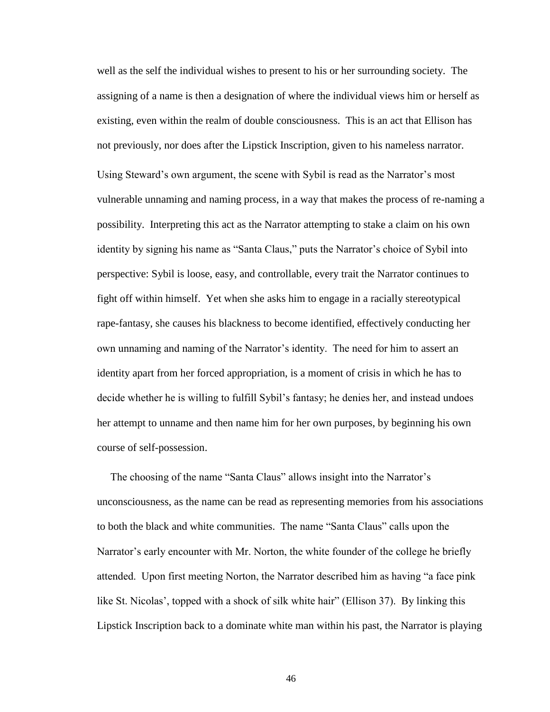well as the self the individual wishes to present to his or her surrounding society. The assigning of a name is then a designation of where the individual views him or herself as existing, even within the realm of double consciousness. This is an act that Ellison has not previously, nor does after the Lipstick Inscription, given to his nameless narrator. Using Steward's own argument, the scene with Sybil is read as the Narrator's most vulnerable unnaming and naming process, in a way that makes the process of re-naming a possibility. Interpreting this act as the Narrator attempting to stake a claim on his own identity by signing his name as "Santa Claus," puts the Narrator's choice of Sybil into perspective: Sybil is loose, easy, and controllable, every trait the Narrator continues to fight off within himself. Yet when she asks him to engage in a racially stereotypical rape-fantasy, she causes his blackness to become identified, effectively conducting her own unnaming and naming of the Narrator's identity. The need for him to assert an identity apart from her forced appropriation, is a moment of crisis in which he has to decide whether he is willing to fulfill Sybil's fantasy; he denies her, and instead undoes her attempt to unname and then name him for her own purposes, by beginning his own course of self-possession.

 The choosing of the name "Santa Claus" allows insight into the Narrator's unconsciousness, as the name can be read as representing memories from his associations to both the black and white communities. The name "Santa Claus" calls upon the Narrator's early encounter with Mr. Norton, the white founder of the college he briefly attended. Upon first meeting Norton, the Narrator described him as having "a face pink like St. Nicolas', topped with a shock of silk white hair" (Ellison 37). By linking this Lipstick Inscription back to a dominate white man within his past, the Narrator is playing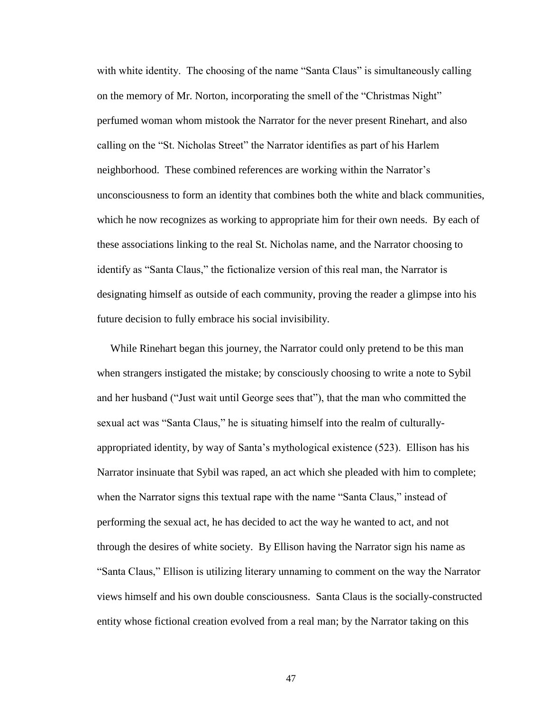with white identity. The choosing of the name "Santa Claus" is simultaneously calling on the memory of Mr. Norton, incorporating the smell of the "Christmas Night" perfumed woman whom mistook the Narrator for the never present Rinehart, and also calling on the "St. Nicholas Street" the Narrator identifies as part of his Harlem neighborhood. These combined references are working within the Narrator's unconsciousness to form an identity that combines both the white and black communities, which he now recognizes as working to appropriate him for their own needs. By each of these associations linking to the real St. Nicholas name, and the Narrator choosing to identify as "Santa Claus," the fictionalize version of this real man, the Narrator is designating himself as outside of each community, proving the reader a glimpse into his future decision to fully embrace his social invisibility.

 While Rinehart began this journey, the Narrator could only pretend to be this man when strangers instigated the mistake; by consciously choosing to write a note to Sybil and her husband ("Just wait until George sees that"), that the man who committed the sexual act was "Santa Claus," he is situating himself into the realm of culturallyappropriated identity, by way of Santa's mythological existence (523). Ellison has his Narrator insinuate that Sybil was raped, an act which she pleaded with him to complete; when the Narrator signs this textual rape with the name "Santa Claus," instead of performing the sexual act, he has decided to act the way he wanted to act, and not through the desires of white society. By Ellison having the Narrator sign his name as "Santa Claus," Ellison is utilizing literary unnaming to comment on the way the Narrator views himself and his own double consciousness. Santa Claus is the socially-constructed entity whose fictional creation evolved from a real man; by the Narrator taking on this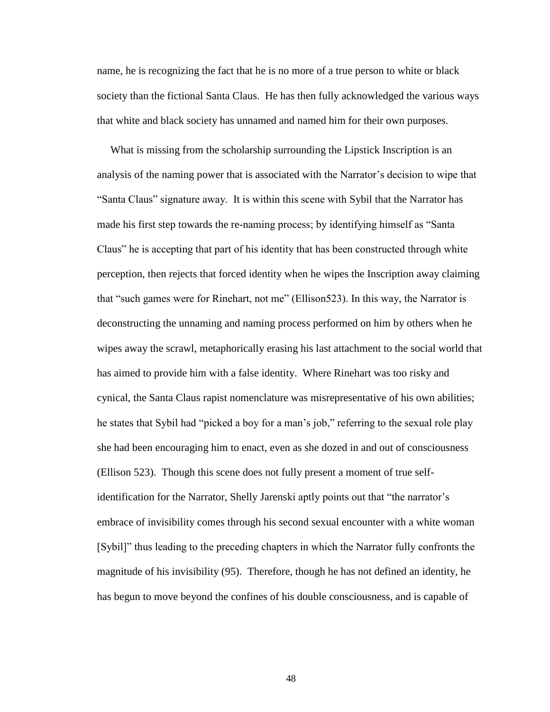name, he is recognizing the fact that he is no more of a true person to white or black society than the fictional Santa Claus. He has then fully acknowledged the various ways that white and black society has unnamed and named him for their own purposes.

 What is missing from the scholarship surrounding the Lipstick Inscription is an analysis of the naming power that is associated with the Narrator's decision to wipe that "Santa Claus" signature away. It is within this scene with Sybil that the Narrator has made his first step towards the re-naming process; by identifying himself as "Santa Claus" he is accepting that part of his identity that has been constructed through white perception, then rejects that forced identity when he wipes the Inscription away claiming that "such games were for Rinehart, not me" (Ellison523). In this way, the Narrator is deconstructing the unnaming and naming process performed on him by others when he wipes away the scrawl, metaphorically erasing his last attachment to the social world that has aimed to provide him with a false identity. Where Rinehart was too risky and cynical, the Santa Claus rapist nomenclature was misrepresentative of his own abilities; he states that Sybil had "picked a boy for a man's job," referring to the sexual role play she had been encouraging him to enact, even as she dozed in and out of consciousness (Ellison 523). Though this scene does not fully present a moment of true selfidentification for the Narrator, Shelly Jarenski aptly points out that "the narrator's embrace of invisibility comes through his second sexual encounter with a white woman [Sybil]" thus leading to the preceding chapters in which the Narrator fully confronts the magnitude of his invisibility (95). Therefore, though he has not defined an identity, he has begun to move beyond the confines of his double consciousness, and is capable of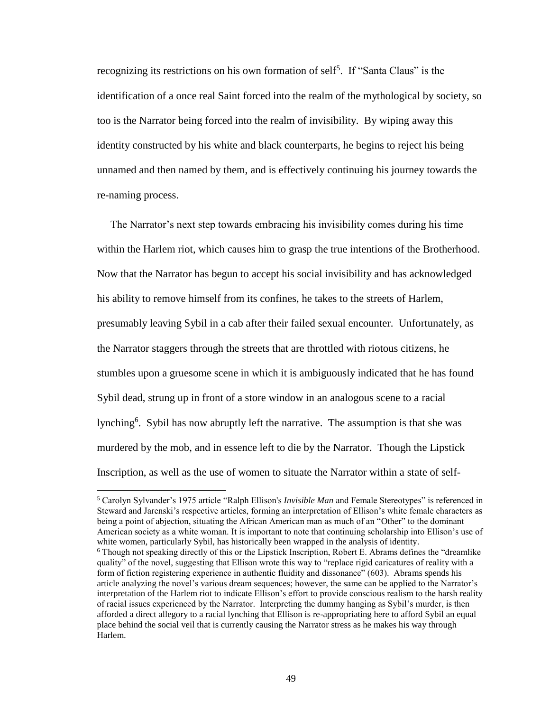recognizing its restrictions on his own formation of self<sup>5</sup>. If "Santa Claus" is the identification of a once real Saint forced into the realm of the mythological by society, so too is the Narrator being forced into the realm of invisibility. By wiping away this identity constructed by his white and black counterparts, he begins to reject his being unnamed and then named by them, and is effectively continuing his journey towards the re-naming process.

 The Narrator's next step towards embracing his invisibility comes during his time within the Harlem riot, which causes him to grasp the true intentions of the Brotherhood. Now that the Narrator has begun to accept his social invisibility and has acknowledged his ability to remove himself from its confines, he takes to the streets of Harlem, presumably leaving Sybil in a cab after their failed sexual encounter. Unfortunately, as the Narrator staggers through the streets that are throttled with riotous citizens, he stumbles upon a gruesome scene in which it is ambiguously indicated that he has found Sybil dead, strung up in front of a store window in an analogous scene to a racial lynching<sup>6</sup>. Sybil has now abruptly left the narrative. The assumption is that she was murdered by the mob, and in essence left to die by the Narrator. Though the Lipstick Inscription, as well as the use of women to situate the Narrator within a state of self-

 $\overline{\phantom{a}}$ 

<sup>5</sup> Carolyn Sylvander's 1975 article "Ralph Ellison's *Invisible Man* and Female Stereotypes" is referenced in Steward and Jarenski's respective articles, forming an interpretation of Ellison's white female characters as being a point of abjection, situating the African American man as much of an "Other" to the dominant American society as a white woman. It is important to note that continuing scholarship into Ellison's use of white women, particularly Sybil, has historically been wrapped in the analysis of identity.

<sup>6</sup> Though not speaking directly of this or the Lipstick Inscription, Robert E. Abrams defines the "dreamlike quality" of the novel, suggesting that Ellison wrote this way to "replace rigid caricatures of reality with a form of fiction registering experience in authentic fluidity and dissonance" (603). Abrams spends his article analyzing the novel's various dream sequences; however, the same can be applied to the Narrator's interpretation of the Harlem riot to indicate Ellison's effort to provide conscious realism to the harsh reality of racial issues experienced by the Narrator. Interpreting the dummy hanging as Sybil's murder, is then afforded a direct allegory to a racial lynching that Ellison is re-appropriating here to afford Sybil an equal place behind the social veil that is currently causing the Narrator stress as he makes his way through Harlem.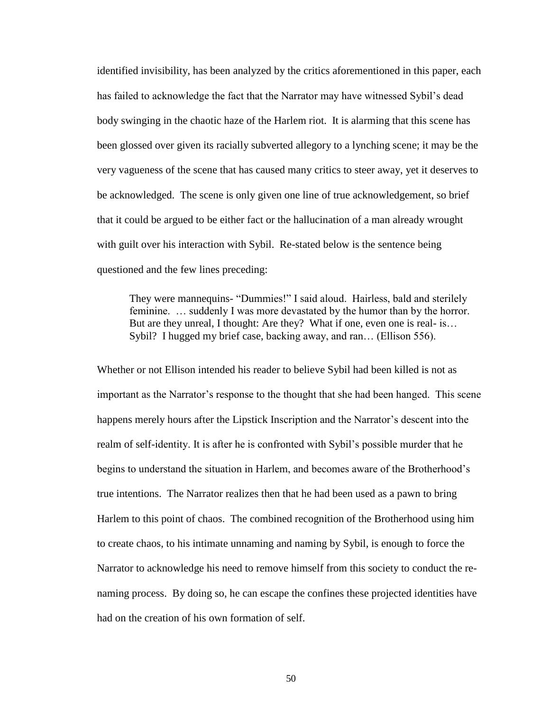identified invisibility, has been analyzed by the critics aforementioned in this paper, each has failed to acknowledge the fact that the Narrator may have witnessed Sybil's dead body swinging in the chaotic haze of the Harlem riot. It is alarming that this scene has been glossed over given its racially subverted allegory to a lynching scene; it may be the very vagueness of the scene that has caused many critics to steer away, yet it deserves to be acknowledged. The scene is only given one line of true acknowledgement, so brief that it could be argued to be either fact or the hallucination of a man already wrought with guilt over his interaction with Sybil. Re-stated below is the sentence being questioned and the few lines preceding:

They were mannequins- "Dummies!" I said aloud. Hairless, bald and sterilely feminine. … suddenly I was more devastated by the humor than by the horror. But are they unreal, I thought: Are they? What if one, even one is real- is… Sybil? I hugged my brief case, backing away, and ran… (Ellison 556).

Whether or not Ellison intended his reader to believe Sybil had been killed is not as important as the Narrator's response to the thought that she had been hanged. This scene happens merely hours after the Lipstick Inscription and the Narrator's descent into the realm of self-identity. It is after he is confronted with Sybil's possible murder that he begins to understand the situation in Harlem, and becomes aware of the Brotherhood's true intentions. The Narrator realizes then that he had been used as a pawn to bring Harlem to this point of chaos. The combined recognition of the Brotherhood using him to create chaos, to his intimate unnaming and naming by Sybil, is enough to force the Narrator to acknowledge his need to remove himself from this society to conduct the renaming process. By doing so, he can escape the confines these projected identities have had on the creation of his own formation of self.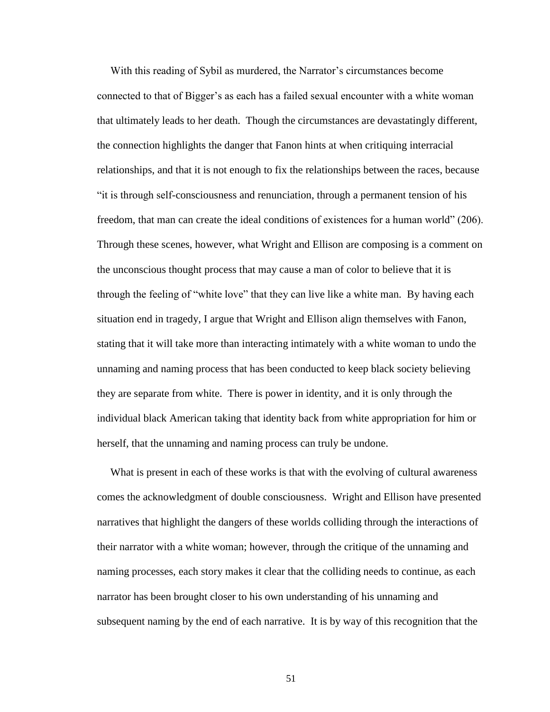With this reading of Sybil as murdered, the Narrator's circumstances become connected to that of Bigger's as each has a failed sexual encounter with a white woman that ultimately leads to her death. Though the circumstances are devastatingly different, the connection highlights the danger that Fanon hints at when critiquing interracial relationships, and that it is not enough to fix the relationships between the races, because "it is through self-consciousness and renunciation, through a permanent tension of his freedom, that man can create the ideal conditions of existences for a human world" (206). Through these scenes, however, what Wright and Ellison are composing is a comment on the unconscious thought process that may cause a man of color to believe that it is through the feeling of "white love" that they can live like a white man. By having each situation end in tragedy, I argue that Wright and Ellison align themselves with Fanon, stating that it will take more than interacting intimately with a white woman to undo the unnaming and naming process that has been conducted to keep black society believing they are separate from white. There is power in identity, and it is only through the individual black American taking that identity back from white appropriation for him or herself, that the unnaming and naming process can truly be undone.

 What is present in each of these works is that with the evolving of cultural awareness comes the acknowledgment of double consciousness. Wright and Ellison have presented narratives that highlight the dangers of these worlds colliding through the interactions of their narrator with a white woman; however, through the critique of the unnaming and naming processes, each story makes it clear that the colliding needs to continue, as each narrator has been brought closer to his own understanding of his unnaming and subsequent naming by the end of each narrative. It is by way of this recognition that the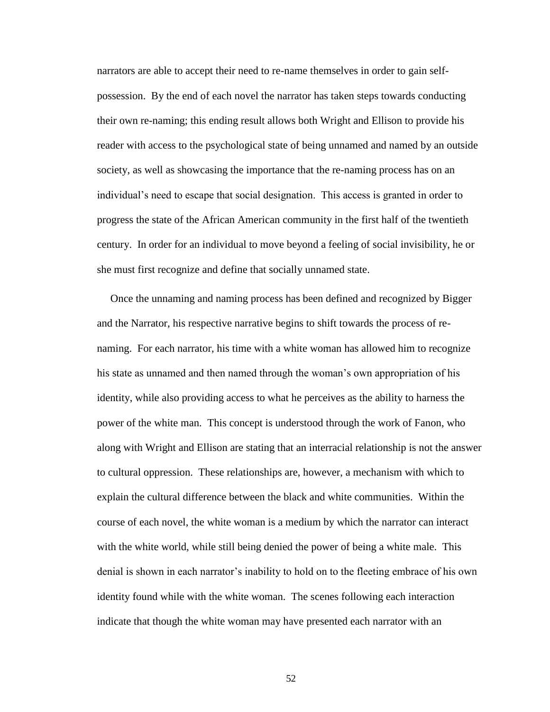narrators are able to accept their need to re-name themselves in order to gain selfpossession. By the end of each novel the narrator has taken steps towards conducting their own re-naming; this ending result allows both Wright and Ellison to provide his reader with access to the psychological state of being unnamed and named by an outside society, as well as showcasing the importance that the re-naming process has on an individual's need to escape that social designation. This access is granted in order to progress the state of the African American community in the first half of the twentieth century. In order for an individual to move beyond a feeling of social invisibility, he or she must first recognize and define that socially unnamed state.

 Once the unnaming and naming process has been defined and recognized by Bigger and the Narrator, his respective narrative begins to shift towards the process of renaming. For each narrator, his time with a white woman has allowed him to recognize his state as unnamed and then named through the woman's own appropriation of his identity, while also providing access to what he perceives as the ability to harness the power of the white man. This concept is understood through the work of Fanon, who along with Wright and Ellison are stating that an interracial relationship is not the answer to cultural oppression. These relationships are, however, a mechanism with which to explain the cultural difference between the black and white communities. Within the course of each novel, the white woman is a medium by which the narrator can interact with the white world, while still being denied the power of being a white male. This denial is shown in each narrator's inability to hold on to the fleeting embrace of his own identity found while with the white woman. The scenes following each interaction indicate that though the white woman may have presented each narrator with an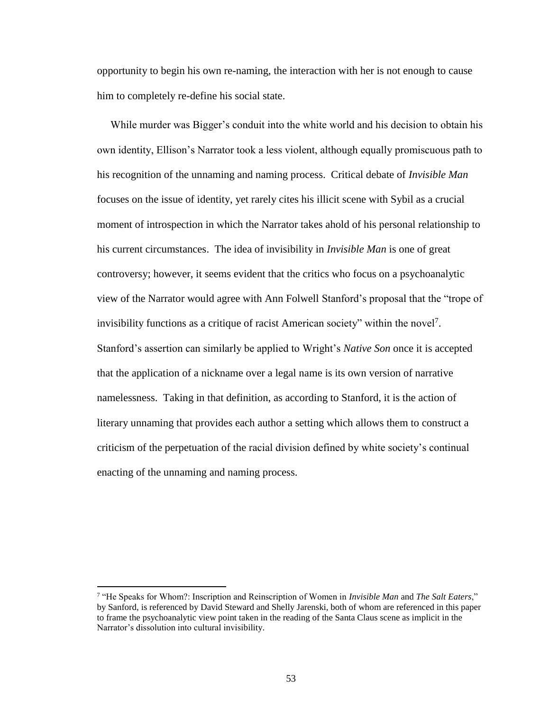opportunity to begin his own re-naming, the interaction with her is not enough to cause him to completely re-define his social state.

 While murder was Bigger's conduit into the white world and his decision to obtain his own identity, Ellison's Narrator took a less violent, although equally promiscuous path to his recognition of the unnaming and naming process. Critical debate of *Invisible Man* focuses on the issue of identity, yet rarely cites his illicit scene with Sybil as a crucial moment of introspection in which the Narrator takes ahold of his personal relationship to his current circumstances. The idea of invisibility in *Invisible Man* is one of great controversy; however, it seems evident that the critics who focus on a psychoanalytic view of the Narrator would agree with Ann Folwell Stanford's proposal that the "trope of invisibility functions as a critique of racist American society" within the novel<sup>7</sup>. Stanford's assertion can similarly be applied to Wright's *Native Son* once it is accepted that the application of a nickname over a legal name is its own version of narrative namelessness. Taking in that definition, as according to Stanford, it is the action of literary unnaming that provides each author a setting which allows them to construct a criticism of the perpetuation of the racial division defined by white society's continual enacting of the unnaming and naming process.

 $\overline{a}$ 

<sup>7</sup> "He Speaks for Whom?: Inscription and Reinscription of Women in *Invisible Man* and *The Salt Eaters*," by Sanford, is referenced by David Steward and Shelly Jarenski, both of whom are referenced in this paper to frame the psychoanalytic view point taken in the reading of the Santa Claus scene as implicit in the Narrator's dissolution into cultural invisibility.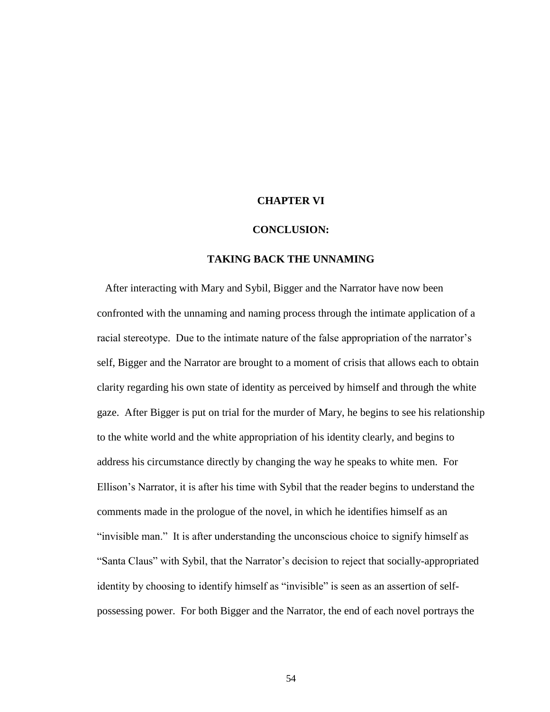#### <span id="page-59-0"></span>**CHAPTER VI**

#### **CONCLUSION:**

#### **TAKING BACK THE UNNAMING**

After interacting with Mary and Sybil, Bigger and the Narrator have now been confronted with the unnaming and naming process through the intimate application of a racial stereotype. Due to the intimate nature of the false appropriation of the narrator's self, Bigger and the Narrator are brought to a moment of crisis that allows each to obtain clarity regarding his own state of identity as perceived by himself and through the white gaze. After Bigger is put on trial for the murder of Mary, he begins to see his relationship to the white world and the white appropriation of his identity clearly, and begins to address his circumstance directly by changing the way he speaks to white men. For Ellison's Narrator, it is after his time with Sybil that the reader begins to understand the comments made in the prologue of the novel, in which he identifies himself as an "invisible man." It is after understanding the unconscious choice to signify himself as "Santa Claus" with Sybil, that the Narrator's decision to reject that socially-appropriated identity by choosing to identify himself as "invisible" is seen as an assertion of selfpossessing power. For both Bigger and the Narrator, the end of each novel portrays the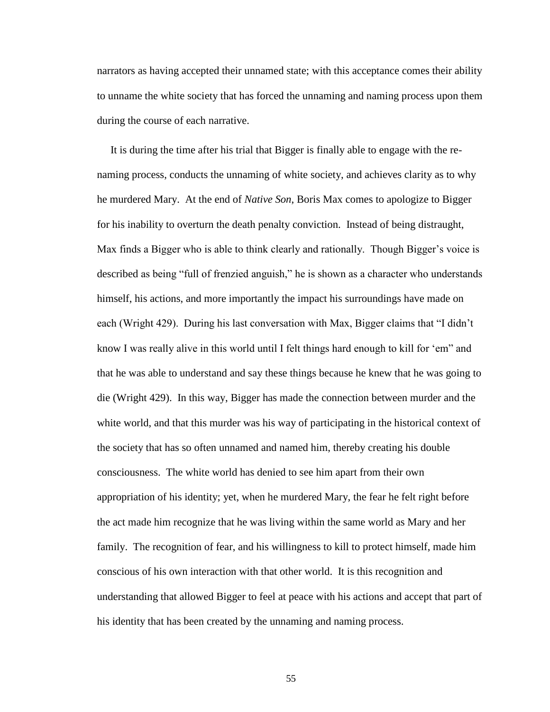narrators as having accepted their unnamed state; with this acceptance comes their ability to unname the white society that has forced the unnaming and naming process upon them during the course of each narrative.

 It is during the time after his trial that Bigger is finally able to engage with the renaming process, conducts the unnaming of white society, and achieves clarity as to why he murdered Mary. At the end of *Native Son*, Boris Max comes to apologize to Bigger for his inability to overturn the death penalty conviction. Instead of being distraught, Max finds a Bigger who is able to think clearly and rationally. Though Bigger's voice is described as being "full of frenzied anguish," he is shown as a character who understands himself, his actions, and more importantly the impact his surroundings have made on each (Wright 429). During his last conversation with Max, Bigger claims that "I didn't know I was really alive in this world until I felt things hard enough to kill for 'em" and that he was able to understand and say these things because he knew that he was going to die (Wright 429). In this way, Bigger has made the connection between murder and the white world, and that this murder was his way of participating in the historical context of the society that has so often unnamed and named him, thereby creating his double consciousness. The white world has denied to see him apart from their own appropriation of his identity; yet, when he murdered Mary, the fear he felt right before the act made him recognize that he was living within the same world as Mary and her family. The recognition of fear, and his willingness to kill to protect himself, made him conscious of his own interaction with that other world. It is this recognition and understanding that allowed Bigger to feel at peace with his actions and accept that part of his identity that has been created by the unnaming and naming process.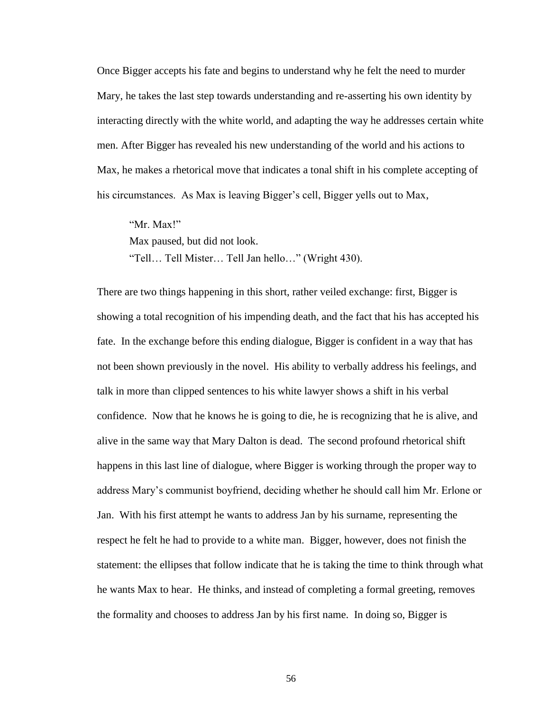Once Bigger accepts his fate and begins to understand why he felt the need to murder Mary, he takes the last step towards understanding and re-asserting his own identity by interacting directly with the white world, and adapting the way he addresses certain white men. After Bigger has revealed his new understanding of the world and his actions to Max, he makes a rhetorical move that indicates a tonal shift in his complete accepting of his circumstances. As Max is leaving Bigger's cell, Bigger yells out to Max,

"Mr. Max!" Max paused, but did not look. "Tell… Tell Mister… Tell Jan hello…" (Wright 430).

There are two things happening in this short, rather veiled exchange: first, Bigger is showing a total recognition of his impending death, and the fact that his has accepted his fate. In the exchange before this ending dialogue, Bigger is confident in a way that has not been shown previously in the novel. His ability to verbally address his feelings, and talk in more than clipped sentences to his white lawyer shows a shift in his verbal confidence. Now that he knows he is going to die, he is recognizing that he is alive, and alive in the same way that Mary Dalton is dead. The second profound rhetorical shift happens in this last line of dialogue, where Bigger is working through the proper way to address Mary's communist boyfriend, deciding whether he should call him Mr. Erlone or Jan. With his first attempt he wants to address Jan by his surname, representing the respect he felt he had to provide to a white man. Bigger, however, does not finish the statement: the ellipses that follow indicate that he is taking the time to think through what he wants Max to hear. He thinks, and instead of completing a formal greeting, removes the formality and chooses to address Jan by his first name. In doing so, Bigger is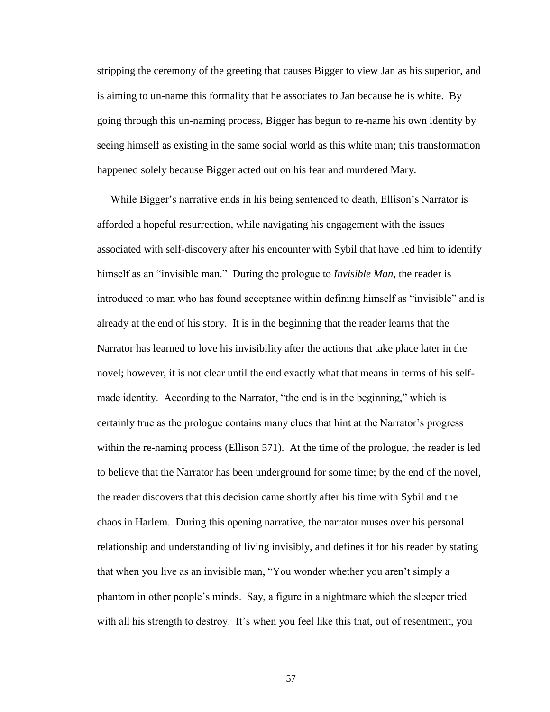stripping the ceremony of the greeting that causes Bigger to view Jan as his superior, and is aiming to un-name this formality that he associates to Jan because he is white. By going through this un-naming process, Bigger has begun to re-name his own identity by seeing himself as existing in the same social world as this white man; this transformation happened solely because Bigger acted out on his fear and murdered Mary.

 While Bigger's narrative ends in his being sentenced to death, Ellison's Narrator is afforded a hopeful resurrection, while navigating his engagement with the issues associated with self-discovery after his encounter with Sybil that have led him to identify himself as an "invisible man." During the prologue to *Invisible Man*, the reader is introduced to man who has found acceptance within defining himself as "invisible" and is already at the end of his story. It is in the beginning that the reader learns that the Narrator has learned to love his invisibility after the actions that take place later in the novel; however, it is not clear until the end exactly what that means in terms of his selfmade identity. According to the Narrator, "the end is in the beginning," which is certainly true as the prologue contains many clues that hint at the Narrator's progress within the re-naming process (Ellison 571). At the time of the prologue, the reader is led to believe that the Narrator has been underground for some time; by the end of the novel, the reader discovers that this decision came shortly after his time with Sybil and the chaos in Harlem. During this opening narrative, the narrator muses over his personal relationship and understanding of living invisibly, and defines it for his reader by stating that when you live as an invisible man, "You wonder whether you aren't simply a phantom in other people's minds. Say, a figure in a nightmare which the sleeper tried with all his strength to destroy. It's when you feel like this that, out of resentment, you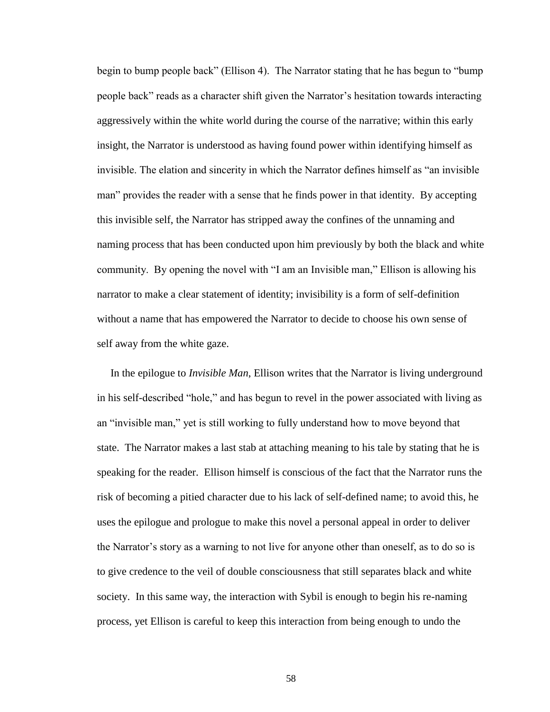begin to bump people back" (Ellison 4). The Narrator stating that he has begun to "bump people back" reads as a character shift given the Narrator's hesitation towards interacting aggressively within the white world during the course of the narrative; within this early insight, the Narrator is understood as having found power within identifying himself as invisible. The elation and sincerity in which the Narrator defines himself as "an invisible man" provides the reader with a sense that he finds power in that identity. By accepting this invisible self, the Narrator has stripped away the confines of the unnaming and naming process that has been conducted upon him previously by both the black and white community. By opening the novel with "I am an Invisible man," Ellison is allowing his narrator to make a clear statement of identity; invisibility is a form of self-definition without a name that has empowered the Narrator to decide to choose his own sense of self away from the white gaze.

 In the epilogue to *Invisible Man*, Ellison writes that the Narrator is living underground in his self-described "hole," and has begun to revel in the power associated with living as an "invisible man," yet is still working to fully understand how to move beyond that state. The Narrator makes a last stab at attaching meaning to his tale by stating that he is speaking for the reader. Ellison himself is conscious of the fact that the Narrator runs the risk of becoming a pitied character due to his lack of self-defined name; to avoid this, he uses the epilogue and prologue to make this novel a personal appeal in order to deliver the Narrator's story as a warning to not live for anyone other than oneself, as to do so is to give credence to the veil of double consciousness that still separates black and white society. In this same way, the interaction with Sybil is enough to begin his re-naming process, yet Ellison is careful to keep this interaction from being enough to undo the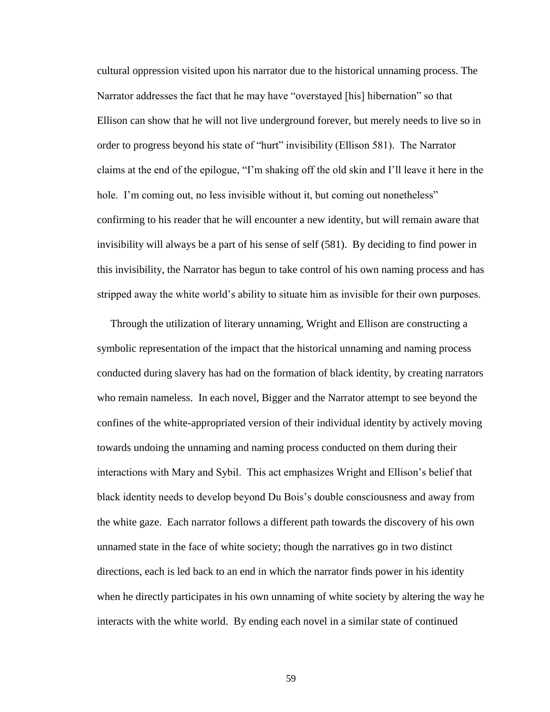cultural oppression visited upon his narrator due to the historical unnaming process. The Narrator addresses the fact that he may have "overstayed [his] hibernation" so that Ellison can show that he will not live underground forever, but merely needs to live so in order to progress beyond his state of "hurt" invisibility (Ellison 581). The Narrator claims at the end of the epilogue, "I'm shaking off the old skin and I'll leave it here in the hole. I'm coming out, no less invisible without it, but coming out nonetheless" confirming to his reader that he will encounter a new identity, but will remain aware that invisibility will always be a part of his sense of self (581). By deciding to find power in this invisibility, the Narrator has begun to take control of his own naming process and has stripped away the white world's ability to situate him as invisible for their own purposes.

 Through the utilization of literary unnaming, Wright and Ellison are constructing a symbolic representation of the impact that the historical unnaming and naming process conducted during slavery has had on the formation of black identity, by creating narrators who remain nameless. In each novel, Bigger and the Narrator attempt to see beyond the confines of the white-appropriated version of their individual identity by actively moving towards undoing the unnaming and naming process conducted on them during their interactions with Mary and Sybil. This act emphasizes Wright and Ellison's belief that black identity needs to develop beyond Du Bois's double consciousness and away from the white gaze. Each narrator follows a different path towards the discovery of his own unnamed state in the face of white society; though the narratives go in two distinct directions, each is led back to an end in which the narrator finds power in his identity when he directly participates in his own unnaming of white society by altering the way he interacts with the white world. By ending each novel in a similar state of continued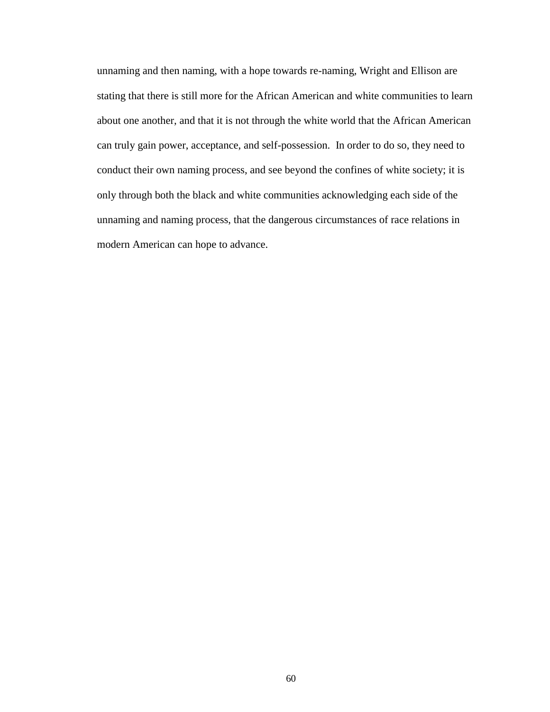unnaming and then naming, with a hope towards re-naming, Wright and Ellison are stating that there is still more for the African American and white communities to learn about one another, and that it is not through the white world that the African American can truly gain power, acceptance, and self-possession. In order to do so, they need to conduct their own naming process, and see beyond the confines of white society; it is only through both the black and white communities acknowledging each side of the unnaming and naming process, that the dangerous circumstances of race relations in modern American can hope to advance.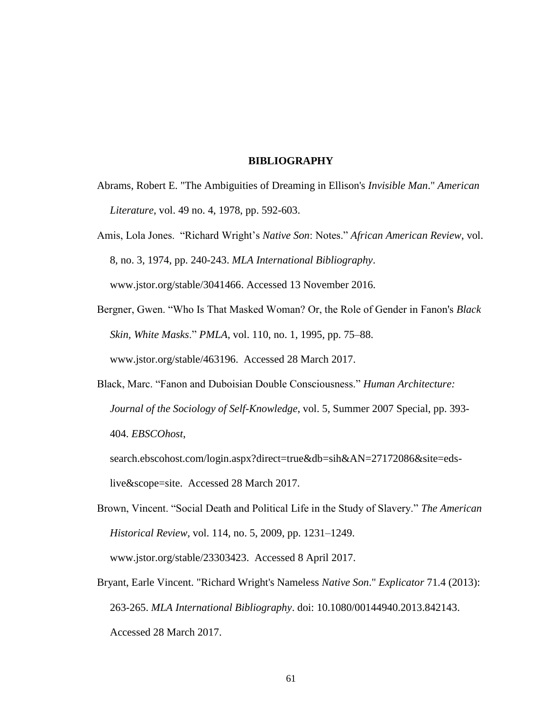#### **BIBLIOGRAPHY**

- <span id="page-66-0"></span>Abrams, Robert E. "The Ambiguities of Dreaming in Ellison's *Invisible Man*." *American Literature*, vol. 49 no. 4, 1978, pp. 592-603.
- Amis, Lola Jones. "Richard Wright's *Native Son*: Notes." *African American Review*, vol. 8, no. 3, 1974, pp. 240-243. *MLA International Bibliography*. www.jstor.org/stable/3041466. Accessed 13 November 2016.
- Bergner, Gwen. "Who Is That Masked Woman? Or, the Role of Gender in Fanon's *Black Skin, White Masks*." *PMLA*, vol. 110, no. 1, 1995, pp. 75–88. www.jstor.org/stable/463196. Accessed 28 March 2017.
- Black, Marc. "Fanon and Duboisian Double Consciousness." *Human Architecture: Journal of the Sociology of Self-Knowledge*, vol. 5, Summer 2007 Special, pp. 393- 404. *EBSCOhost*,

search.ebscohost.com/login.aspx?direct=true&db=sih&AN=27172086&site=edslive&scope=site. Accessed 28 March 2017.

- Brown, Vincent. "Social Death and Political Life in the Study of Slavery." *The American Historical Review*, vol. 114, no. 5, 2009, pp. 1231–1249. www.jstor.org/stable/23303423. Accessed 8 April 2017.
- Bryant, Earle Vincent. "Richard Wright's Nameless *Native Son*." *Explicator* 71.4 (2013): 263-265. *MLA International Bibliography*. doi: 10.1080/00144940.2013.842143. Accessed 28 March 2017.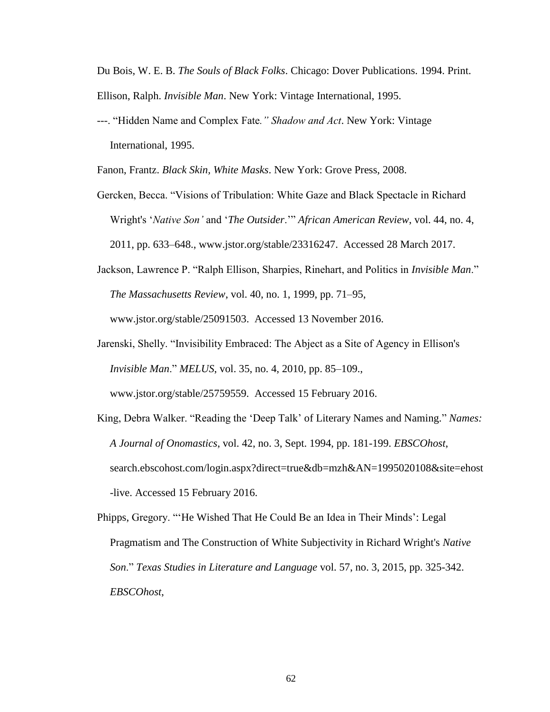Du Bois, W. E. B. *The Souls of Black Folks*. Chicago: Dover Publications. 1994. Print. Ellison, Ralph. *Invisible Man*. New York: Vintage International, 1995.

---. "Hidden Name and Complex Fate*." Shadow and Act*. New York: Vintage International, 1995.

Fanon, Frantz. *Black Skin, White Masks*. New York: Grove Press, 2008.

- Gercken, Becca. "Visions of Tribulation: White Gaze and Black Spectacle in Richard Wright's '*Native Son'* and '*The Outsider*.'" *African American Review*, vol. 44, no. 4, 2011, pp. 633–648., www.jstor.org/stable/23316247. Accessed 28 March 2017.
- Jackson, Lawrence P. "Ralph Ellison, Sharpies, Rinehart, and Politics in *Invisible Man*." *The Massachusetts Review*, vol. 40, no. 1, 1999, pp. 71–95, www.jstor.org/stable/25091503. Accessed 13 November 2016.
- Jarenski, Shelly. "Invisibility Embraced: The Abject as a Site of Agency in Ellison's *Invisible Man*." *MELUS*, vol. 35, no. 4, 2010, pp. 85–109., www.jstor.org/stable/25759559. Accessed 15 February 2016.
- King, Debra Walker. "Reading the 'Deep Talk' of Literary Names and Naming." *Names: A Journal of Onomastics*, vol. 42, no. 3, Sept. 1994, pp. 181-199. *EBSCOhost*, search.ebscohost.com/login.aspx?direct=true&db=mzh&AN=1995020108&site=ehost -live. Accessed 15 February 2016.
- Phipps, Gregory. "'He Wished That He Could Be an Idea in Their Minds': Legal Pragmatism and The Construction of White Subjectivity in Richard Wright's *Native Son*." *Texas Studies in Literature and Language* vol. 57, no. 3, 2015, pp. 325-342. *EBSCOhost*,